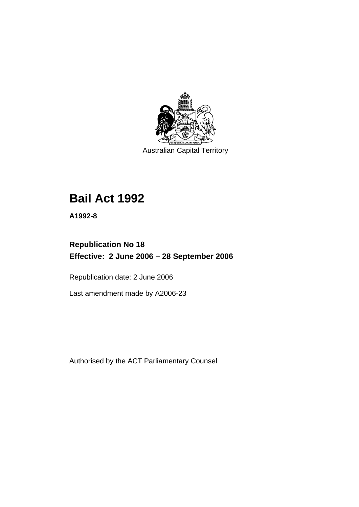

Australian Capital Territory

# **Bail Act 1992**

**A1992-8** 

## **Republication No 18 Effective: 2 June 2006 – 28 September 2006**

Republication date: 2 June 2006

Last amendment made by A2006-23

Authorised by the ACT Parliamentary Counsel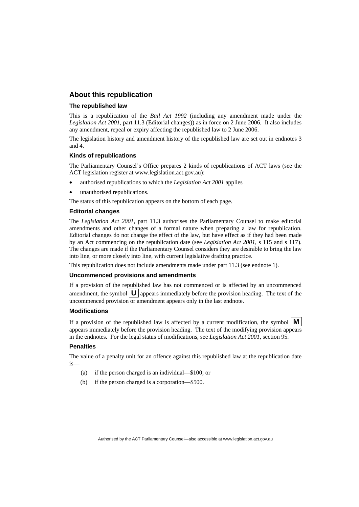### **About this republication**

#### **The republished law**

This is a republication of the *Bail Act 1992* (including any amendment made under the *Legislation Act 2001*, part 11.3 (Editorial changes)) as in force on 2 June 2006*.* It also includes any amendment, repeal or expiry affecting the republished law to 2 June 2006.

The legislation history and amendment history of the republished law are set out in endnotes 3 and 4.

#### **Kinds of republications**

The Parliamentary Counsel's Office prepares 2 kinds of republications of ACT laws (see the ACT legislation register at www.legislation.act.gov.au):

- authorised republications to which the *Legislation Act 2001* applies
- unauthorised republications.

The status of this republication appears on the bottom of each page.

#### **Editorial changes**

The *Legislation Act 2001*, part 11.3 authorises the Parliamentary Counsel to make editorial amendments and other changes of a formal nature when preparing a law for republication. Editorial changes do not change the effect of the law, but have effect as if they had been made by an Act commencing on the republication date (see *Legislation Act 2001*, s 115 and s 117). The changes are made if the Parliamentary Counsel considers they are desirable to bring the law into line, or more closely into line, with current legislative drafting practice.

This republication does not include amendments made under part 11.3 (see endnote 1).

#### **Uncommenced provisions and amendments**

If a provision of the republished law has not commenced or is affected by an uncommenced amendment, the symbol  $\mathbf{U}$  appears immediately before the provision heading. The text of the uncommenced provision or amendment appears only in the last endnote.

#### **Modifications**

If a provision of the republished law is affected by a current modification, the symbol  $\mathbf{M}$ appears immediately before the provision heading. The text of the modifying provision appears in the endnotes. For the legal status of modifications, see *Legislation Act 2001*, section 95.

#### **Penalties**

The value of a penalty unit for an offence against this republished law at the republication date is—

- (a) if the person charged is an individual—\$100; or
- (b) if the person charged is a corporation—\$500.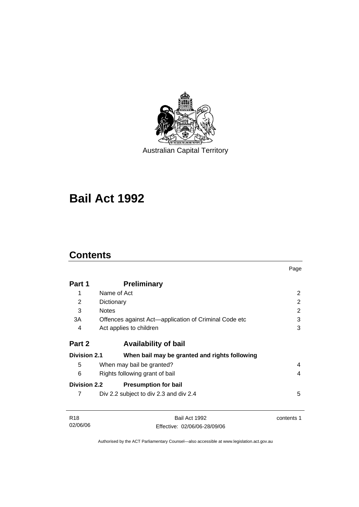

Australian Capital Territory

# **Bail Act 1992**

## **Contents**

|                     |                                                       | Page           |
|---------------------|-------------------------------------------------------|----------------|
| Part 1              | <b>Preliminary</b>                                    |                |
| 1                   | Name of Act                                           | $\overline{2}$ |
| 2                   | Dictionary                                            | 2              |
| 3                   | <b>Notes</b>                                          | 2              |
| 3A                  | Offences against Act-application of Criminal Code etc | 3              |
| 4                   | Act applies to children                               | 3              |
| Part 2              | <b>Availability of bail</b>                           |                |
| <b>Division 2.1</b> | When bail may be granted and rights following         |                |
| 5                   | When may bail be granted?                             | 4              |
| 6                   | Rights following grant of bail                        | 4              |
| <b>Division 2.2</b> | <b>Presumption for bail</b>                           |                |
| 7                   | Div 2.2 subject to div 2.3 and div 2.4                | 5              |
| R <sub>18</sub>     | Bail Act 1992                                         | contents 1     |
| 02/06/06            | Effective: 02/06/06-28/09/06                          |                |

Authorised by the ACT Parliamentary Counsel—also accessible at www.legislation.act.gov.au

Effective: 02/06/06-28/09/06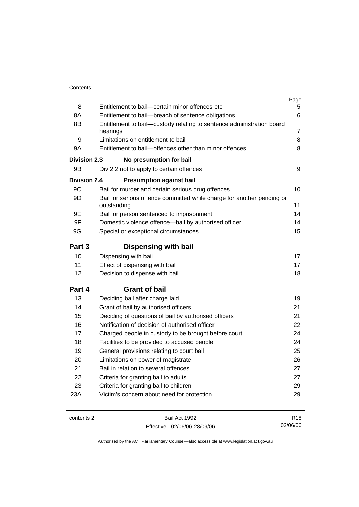|                     |                                                                                       | Page            |
|---------------------|---------------------------------------------------------------------------------------|-----------------|
| 8                   | Entitlement to bail-certain minor offences etc                                        | 5               |
| 8A                  | Entitlement to bail-breach of sentence obligations                                    | 6               |
| 8B                  | Entitlement to bail—custody relating to sentence administration board<br>hearings     | 7               |
| 9                   | Limitations on entitlement to bail                                                    | 8               |
| 9A                  | Entitlement to bail-offences other than minor offences                                | 8               |
| Division 2.3        | No presumption for bail                                                               |                 |
| 9B                  | Div 2.2 not to apply to certain offences                                              | 9               |
| <b>Division 2.4</b> | <b>Presumption against bail</b>                                                       |                 |
| 9C                  | Bail for murder and certain serious drug offences                                     | 10              |
| 9D                  | Bail for serious offence committed while charge for another pending or<br>outstanding | 11              |
| 9E                  | Bail for person sentenced to imprisonment                                             | 14              |
| 9F                  | Domestic violence offence—bail by authorised officer                                  | 14              |
| 9G                  | Special or exceptional circumstances                                                  | 15              |
| Part 3              | <b>Dispensing with bail</b>                                                           |                 |
| 10                  | Dispensing with bail                                                                  | 17              |
| 11                  | Effect of dispensing with bail                                                        | 17              |
| 12                  | Decision to dispense with bail                                                        | 18              |
| Part 4              | <b>Grant of bail</b>                                                                  |                 |
| 13                  | Deciding bail after charge laid                                                       | 19              |
| 14                  | Grant of bail by authorised officers                                                  | 21              |
| 15                  | Deciding of questions of bail by authorised officers                                  | 21              |
| 16                  | Notification of decision of authorised officer                                        | 22              |
| 17                  | Charged people in custody to be brought before court                                  | 24              |
| 18                  | Facilities to be provided to accused people                                           | 24              |
| 19                  | General provisions relating to court bail                                             | 25              |
| 20                  | Limitations on power of magistrate                                                    | 26              |
| 21                  | Bail in relation to several offences                                                  | 27              |
| 22                  | Criteria for granting bail to adults                                                  | 27              |
| 23                  | Criteria for granting bail to children                                                | 29              |
| 23A                 | Victim's concern about need for protection                                            | 29              |
|                     |                                                                                       |                 |
| contents 2          | Bail Act 1992                                                                         | R <sub>18</sub> |

Effective: 02/06/06-28/09/06

R18 02/06/06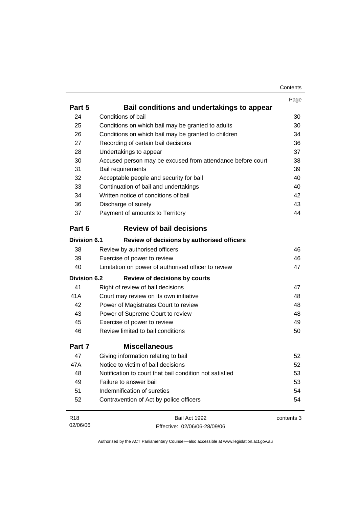| Contents |
|----------|
|----------|

|                     |                                                            | Page       |
|---------------------|------------------------------------------------------------|------------|
| Part 5              | Bail conditions and undertakings to appear                 |            |
| 24                  | Conditions of bail                                         | 30         |
| 25                  | Conditions on which bail may be granted to adults          | 30         |
| 26                  | Conditions on which bail may be granted to children        | 34         |
| 27                  | Recording of certain bail decisions                        | 36         |
| 28                  | Undertakings to appear                                     | 37         |
| 30                  | Accused person may be excused from attendance before court | 38         |
| 31                  | Bail requirements                                          | 39         |
| 32                  | Acceptable people and security for bail                    | 40         |
| 33                  | Continuation of bail and undertakings                      | 40         |
| 34                  | Written notice of conditions of bail                       | 42         |
| 36                  | Discharge of surety                                        | 43         |
| 37                  | Payment of amounts to Territory                            | 44         |
| Part 6              | <b>Review of bail decisions</b>                            |            |
| <b>Division 6.1</b> | Review of decisions by authorised officers                 |            |
| 38                  | Review by authorised officers                              | 46         |
| 39                  | Exercise of power to review                                | 46         |
| 40                  | Limitation on power of authorised officer to review        | 47         |
| Division 6.2        | <b>Review of decisions by courts</b>                       |            |
| 41                  | Right of review of bail decisions                          | 47         |
| 41A                 | Court may review on its own initiative                     | 48         |
| 42                  | Power of Magistrates Court to review                       | 48         |
| 43                  | Power of Supreme Court to review                           | 48         |
| 45                  | Exercise of power to review                                | 49         |
| 46                  | Review limited to bail conditions                          | 50         |
| Part 7              | <b>Miscellaneous</b>                                       |            |
| 47                  | Giving information relating to bail                        | 52         |
| 47A                 | Notice to victim of bail decisions                         | 52         |
| 48                  | Notification to court that bail condition not satisfied    | 53         |
| 49                  | Failure to answer bail                                     | 53         |
| 51                  | Indemnification of sureties                                | 54         |
| 52                  | Contravention of Act by police officers                    | 54         |
| R <sub>18</sub>     | Bail Act 1992                                              | contents 3 |
| 02/06/06            | Effective: 02/06/06-28/09/06                               |            |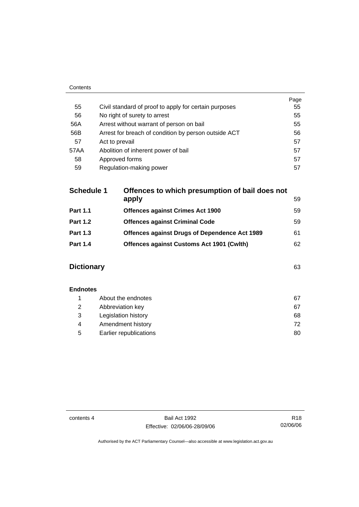| Contents |                                                       |      |
|----------|-------------------------------------------------------|------|
|          |                                                       | Page |
| 55       | Civil standard of proof to apply for certain purposes | 55   |
| 56       | No right of surety to arrest                          | 55   |
| 56A      | Arrest without warrant of person on bail              | 55   |
| 56B      | Arrest for breach of condition by person outside ACT  | 56   |
| 57       | Act to prevail                                        | 57   |
| 57AA     | Abolition of inherent power of bail                   | 57   |
| 58       | Approved forms                                        | 57   |
| 59       | Regulation-making power                               | 57   |

| <b>Schedule 1</b> | Offences to which presumption of bail does not   |    |
|-------------------|--------------------------------------------------|----|
|                   | apply                                            | 59 |
| <b>Part 1.1</b>   | <b>Offences against Crimes Act 1900</b>          | 59 |
| <b>Part 1.2</b>   | <b>Offences against Criminal Code</b>            | 59 |
| <b>Part 1.3</b>   | Offences against Drugs of Dependence Act 1989    | 61 |
| <b>Part 1.4</b>   | <b>Offences against Customs Act 1901 (Cwlth)</b> | 62 |
|                   |                                                  |    |

## **Dictionary** 63

| <b>Endnotes</b> |                        |    |
|-----------------|------------------------|----|
|                 | About the endnotes     | 67 |
| 2               | Abbreviation key       | 67 |
| 3               | Legislation history    | 68 |
| 4               | Amendment history      | 72 |
| 5               | Earlier republications | 80 |

contents 4 Bail Act 1992 Effective: 02/06/06-28/09/06

R18 02/06/06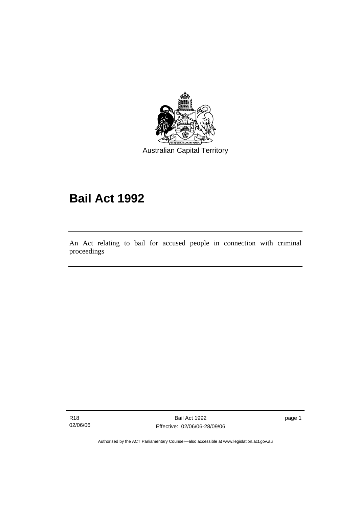

Australian Capital Territory

# **Bail Act 1992**

An Act relating to bail for accused people in connection with criminal proceedings

R18 02/06/06

l

Bail Act 1992 Effective: 02/06/06-28/09/06 page 1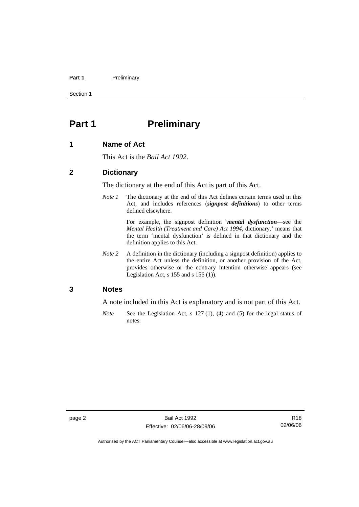#### Part 1 **Preliminary**

Section 1

## **Part 1** Preliminary

#### **1 Name of Act**

This Act is the *Bail Act 1992*.

#### **2 Dictionary**

The dictionary at the end of this Act is part of this Act.

*Note 1* The dictionary at the end of this Act defines certain terms used in this Act, and includes references (*signpost definitions*) to other terms defined elsewhere.

> For example, the signpost definition '*mental dysfunction*—see the *Mental Health (Treatment and Care) Act 1994*, dictionary.' means that the term 'mental dysfunction' is defined in that dictionary and the definition applies to this Act.

*Note 2* A definition in the dictionary (including a signpost definition) applies to the entire Act unless the definition, or another provision of the Act, provides otherwise or the contrary intention otherwise appears (see Legislation Act, s  $155$  and s  $156$  (1)).

#### **3 Notes**

A note included in this Act is explanatory and is not part of this Act.

*Note* See the Legislation Act, s 127 (1), (4) and (5) for the legal status of notes.

R18 02/06/06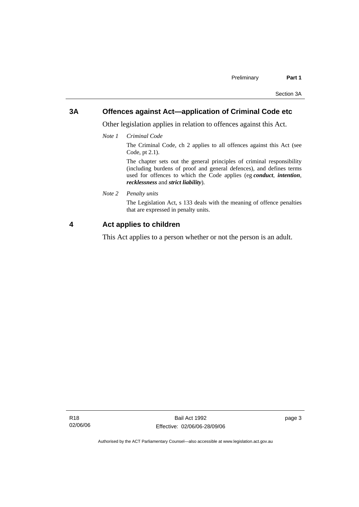### **3A Offences against Act—application of Criminal Code etc**

Other legislation applies in relation to offences against this Act.

*Note 1 Criminal Code*

The Criminal Code, ch 2 applies to all offences against this Act (see Code, pt 2.1).

The chapter sets out the general principles of criminal responsibility (including burdens of proof and general defences), and defines terms used for offences to which the Code applies (eg *conduct*, *intention*, *recklessness* and *strict liability*).

*Note 2 Penalty units* 

The Legislation Act, s 133 deals with the meaning of offence penalties that are expressed in penalty units.

#### **4 Act applies to children**

This Act applies to a person whether or not the person is an adult.

page 3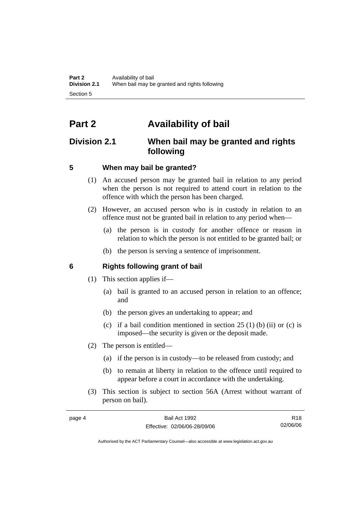## **Part 2 Availability of bail**

## **Division 2.1 When bail may be granted and rights following**

## **5 When may bail be granted?**

- (1) An accused person may be granted bail in relation to any period when the person is not required to attend court in relation to the offence with which the person has been charged.
- (2) However, an accused person who is in custody in relation to an offence must not be granted bail in relation to any period when—
	- (a) the person is in custody for another offence or reason in relation to which the person is not entitled to be granted bail; or
	- (b) the person is serving a sentence of imprisonment.

## **6 Rights following grant of bail**

- (1) This section applies if—
	- (a) bail is granted to an accused person in relation to an offence; and
	- (b) the person gives an undertaking to appear; and
	- (c) if a bail condition mentioned in section  $25(1)$  (b) (ii) or (c) is imposed—the security is given or the deposit made.
- (2) The person is entitled—
	- (a) if the person is in custody—to be released from custody; and
	- (b) to remain at liberty in relation to the offence until required to appear before a court in accordance with the undertaking.
- (3) This section is subject to section 56A (Arrest without warrant of person on bail).

| page 4 | Bail Act 1992                | R18      |
|--------|------------------------------|----------|
|        | Effective: 02/06/06-28/09/06 | 02/06/06 |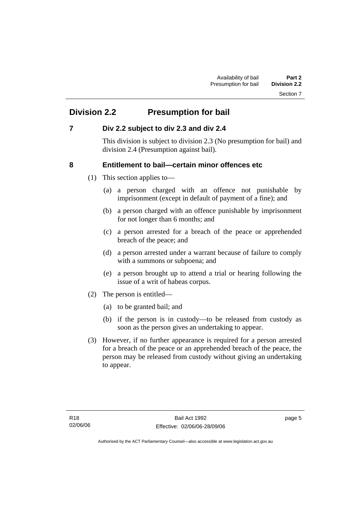## **Division 2.2 Presumption for bail**

## **7 Div 2.2 subject to div 2.3 and div 2.4**

This division is subject to division 2.3 (No presumption for bail) and division 2.4 (Presumption against bail).

## **8 Entitlement to bail—certain minor offences etc**

- (1) This section applies to—
	- (a) a person charged with an offence not punishable by imprisonment (except in default of payment of a fine); and
	- (b) a person charged with an offence punishable by imprisonment for not longer than 6 months; and
	- (c) a person arrested for a breach of the peace or apprehended breach of the peace; and
	- (d) a person arrested under a warrant because of failure to comply with a summons or subpoena; and
	- (e) a person brought up to attend a trial or hearing following the issue of a writ of habeas corpus.
- (2) The person is entitled—
	- (a) to be granted bail; and
	- (b) if the person is in custody—to be released from custody as soon as the person gives an undertaking to appear.
- (3) However, if no further appearance is required for a person arrested for a breach of the peace or an apprehended breach of the peace, the person may be released from custody without giving an undertaking to appear.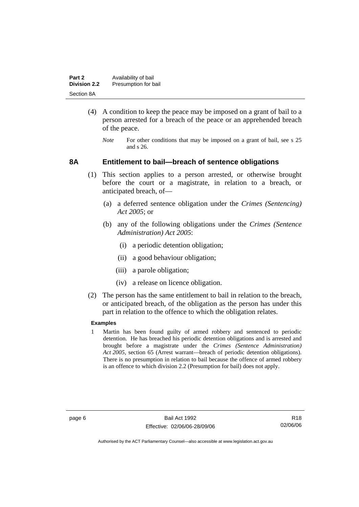| Part 2              | Availability of bail |
|---------------------|----------------------|
| <b>Division 2.2</b> | Presumption for bail |
| Section 8A          |                      |

- (4) A condition to keep the peace may be imposed on a grant of bail to a person arrested for a breach of the peace or an apprehended breach of the peace.
	- *Note* For other conditions that may be imposed on a grant of bail, see s 25 and s 26.

#### **8A Entitlement to bail—breach of sentence obligations**

- (1) This section applies to a person arrested, or otherwise brought before the court or a magistrate, in relation to a breach, or anticipated breach, of—
	- (a) a deferred sentence obligation under the *Crimes (Sentencing) Act 2005*; or
	- (b) any of the following obligations under the *Crimes (Sentence Administration) Act 2005*:
		- (i) a periodic detention obligation;
		- (ii) a good behaviour obligation;
		- (iii) a parole obligation;
		- (iv) a release on licence obligation.
- (2) The person has the same entitlement to bail in relation to the breach, or anticipated breach, of the obligation as the person has under this part in relation to the offence to which the obligation relates.

#### **Examples**

1 Martin has been found guilty of armed robbery and sentenced to periodic detention. He has breached his periodic detention obligations and is arrested and brought before a magistrate under the *Crimes (Sentence Administration) Act 2005*, section 65 (Arrest warrant—breach of periodic detention obligations). There is no presumption in relation to bail because the offence of armed robbery is an offence to which division 2.2 (Presumption for bail) does not apply.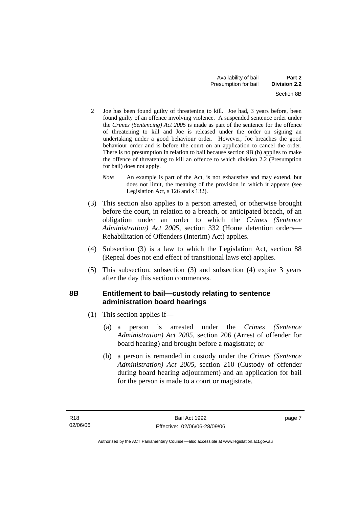- 2 Joe has been found guilty of threatening to kill. Joe had, 3 years before, been found guilty of an offence involving violence. A suspended sentence order under the *Crimes (Sentencing) Act 2005* is made as part of the sentence for the offence of threatening to kill and Joe is released under the order on signing an undertaking under a good behaviour order. However, Joe breaches the good behaviour order and is before the court on an application to cancel the order. There is no presumption in relation to bail because section 9B (b) applies to make the offence of threatening to kill an offence to which division 2.2 (Presumption for bail) does not apply.
	- *Note* An example is part of the Act, is not exhaustive and may extend, but does not limit, the meaning of the provision in which it appears (see Legislation Act, s 126 and s 132).
- (3) This section also applies to a person arrested, or otherwise brought before the court, in relation to a breach, or anticipated breach, of an obligation under an order to which the *Crimes (Sentence Administration) Act 2005*, section 332 (Home detention orders— Rehabilitation of Offenders (Interim) Act) applies.
- (4) Subsection (3) is a law to which the Legislation Act, section 88 (Repeal does not end effect of transitional laws etc) applies.
- (5) This subsection, subsection (3) and subsection (4) expire 3 years after the day this section commences.

## **8B Entitlement to bail—custody relating to sentence administration board hearings**

- (1) This section applies if—
	- (a) a person is arrested under the *Crimes (Sentence Administration) Act 2005*, section 206 (Arrest of offender for board hearing) and brought before a magistrate; or
	- (b) a person is remanded in custody under the *Crimes (Sentence Administration) Act 2005*, section 210 (Custody of offender during board hearing adjournment) and an application for bail for the person is made to a court or magistrate.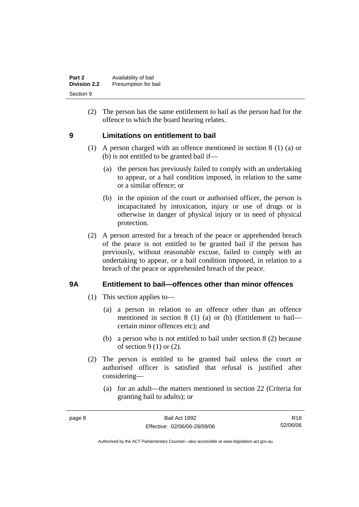| Part 2              | Availability of bail |
|---------------------|----------------------|
| <b>Division 2.2</b> | Presumption for bail |
| Section 9           |                      |

 (2) The person has the same entitlement to bail as the person had for the offence to which the board hearing relates.

### **9 Limitations on entitlement to bail**

- (1) A person charged with an offence mentioned in section 8 (1) (a) or (b) is not entitled to be granted bail if—
	- (a) the person has previously failed to comply with an undertaking to appear, or a bail condition imposed, in relation to the same or a similar offence; or
	- (b) in the opinion of the court or authorised officer, the person is incapacitated by intoxication, injury or use of drugs or is otherwise in danger of physical injury or in need of physical protection.
- (2) A person arrested for a breach of the peace or apprehended breach of the peace is not entitled to be granted bail if the person has previously, without reasonable excuse, failed to comply with an undertaking to appear, or a bail condition imposed, in relation to a breach of the peace or apprehended breach of the peace.

### **9A Entitlement to bail—offences other than minor offences**

- (1) This section applies to—
	- (a) a person in relation to an offence other than an offence mentioned in section 8 (1) (a) or (b) (Entitlement to bail certain minor offences etc); and
	- (b) a person who is not entitled to bail under section 8 (2) because of section 9 (1) or (2).
- (2) The person is entitled to be granted bail unless the court or authorised officer is satisfied that refusal is justified after considering—
	- (a) for an adult—the matters mentioned in section 22 (Criteria for granting bail to adults); or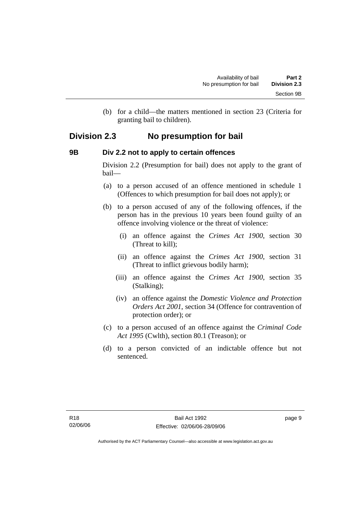(b) for a child—the matters mentioned in section 23 (Criteria for granting bail to children).

## **Division 2.3 No presumption for bail**

### **9B Div 2.2 not to apply to certain offences**

Division 2.2 (Presumption for bail) does not apply to the grant of bail—

- (a) to a person accused of an offence mentioned in schedule 1 (Offences to which presumption for bail does not apply); or
- (b) to a person accused of any of the following offences, if the person has in the previous 10 years been found guilty of an offence involving violence or the threat of violence:
	- (i) an offence against the *Crimes Act 1900*, section 30 (Threat to kill);
	- (ii) an offence against the *Crimes Act 1900*, section 31 (Threat to inflict grievous bodily harm);
	- (iii) an offence against the *Crimes Act 1900*, section 35 (Stalking);
	- (iv) an offence against the *Domestic Violence and Protection Orders Act 2001*, section 34 (Offence for contravention of protection order); or
- (c) to a person accused of an offence against the *Criminal Code Act 1995* (Cwlth), section 80.1 (Treason); or
- (d) to a person convicted of an indictable offence but not sentenced.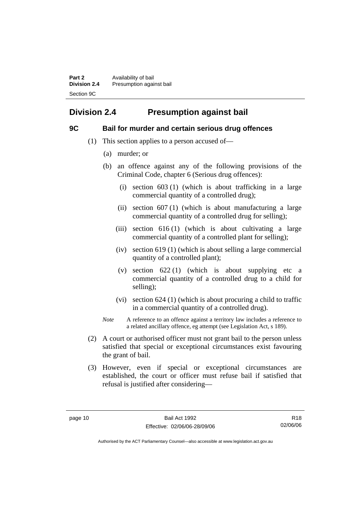**Part 2 Availability of bail Division 2.4** Presumption against bail Section 9C

## **Division 2.4 Presumption against bail**

### **9C Bail for murder and certain serious drug offences**

- (1) This section applies to a person accused of—
	- (a) murder; or
	- (b) an offence against any of the following provisions of the Criminal Code, chapter 6 (Serious drug offences):
		- (i) section 603 (1) (which is about trafficking in a large commercial quantity of a controlled drug);
		- (ii) section 607 (1) (which is about manufacturing a large commercial quantity of a controlled drug for selling);
		- (iii) section  $616(1)$  (which is about cultivating a large commercial quantity of a controlled plant for selling);
		- (iv) section 619 (1) (which is about selling a large commercial quantity of a controlled plant);
		- (v) section 622 (1) (which is about supplying etc a commercial quantity of a controlled drug to a child for selling);
		- (vi) section 624 (1) (which is about procuring a child to traffic in a commercial quantity of a controlled drug).
	- *Note* A reference to an offence against a territory law includes a reference to a related ancillary offence, eg attempt (see Legislation Act, s 189).
- (2) A court or authorised officer must not grant bail to the person unless satisfied that special or exceptional circumstances exist favouring the grant of bail.
- (3) However, even if special or exceptional circumstances are established, the court or officer must refuse bail if satisfied that refusal is justified after considering—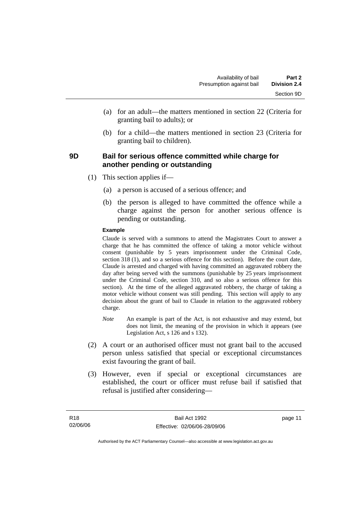- (a) for an adult—the matters mentioned in section 22 (Criteria for granting bail to adults); or
- (b) for a child—the matters mentioned in section 23 (Criteria for granting bail to children).

### **9D Bail for serious offence committed while charge for another pending or outstanding**

- (1) This section applies if—
	- (a) a person is accused of a serious offence; and
	- (b) the person is alleged to have committed the offence while a charge against the person for another serious offence is pending or outstanding.

#### **Example**

Claude is served with a summons to attend the Magistrates Court to answer a charge that he has committed the offence of taking a motor vehicle without consent (punishable by 5 years imprisonment under the Criminal Code, section 318 (1), and so a serious offence for this section). Before the court date, Claude is arrested and charged with having committed an aggravated robbery the day after being served with the summons (punishable by 25 years imprisonment under the Criminal Code, section 310, and so also a serious offence for this section). At the time of the alleged aggravated robbery, the charge of taking a motor vehicle without consent was still pending. This section will apply to any decision about the grant of bail to Claude in relation to the aggravated robbery charge.

- *Note* An example is part of the Act, is not exhaustive and may extend, but does not limit, the meaning of the provision in which it appears (see Legislation Act, s 126 and s 132).
- (2) A court or an authorised officer must not grant bail to the accused person unless satisfied that special or exceptional circumstances exist favouring the grant of bail.
- (3) However, even if special or exceptional circumstances are established, the court or officer must refuse bail if satisfied that refusal is justified after considering—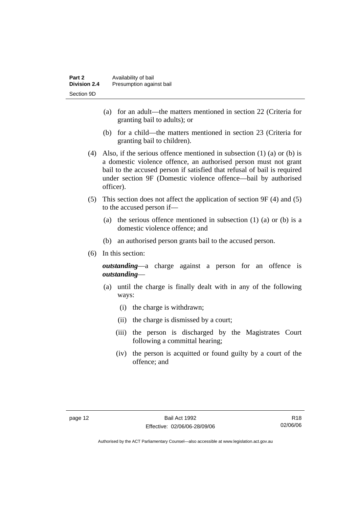- (a) for an adult—the matters mentioned in section 22 (Criteria for granting bail to adults); or
- (b) for a child—the matters mentioned in section 23 (Criteria for granting bail to children).
- (4) Also, if the serious offence mentioned in subsection (1) (a) or (b) is a domestic violence offence, an authorised person must not grant bail to the accused person if satisfied that refusal of bail is required under section 9F (Domestic violence offence—bail by authorised officer).
- (5) This section does not affect the application of section 9F (4) and (5) to the accused person if—
	- (a) the serious offence mentioned in subsection (1) (a) or (b) is a domestic violence offence; and
	- (b) an authorised person grants bail to the accused person.
- (6) In this section:

*outstanding*—a charge against a person for an offence is *outstanding*—

- (a) until the charge is finally dealt with in any of the following ways:
	- (i) the charge is withdrawn;
	- (ii) the charge is dismissed by a court;
	- (iii) the person is discharged by the Magistrates Court following a committal hearing;
	- (iv) the person is acquitted or found guilty by a court of the offence; and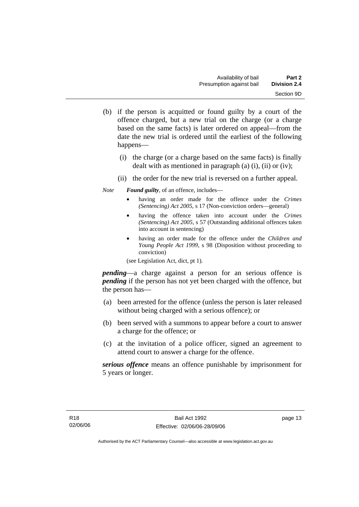- (b) if the person is acquitted or found guilty by a court of the offence charged, but a new trial on the charge (or a charge based on the same facts) is later ordered on appeal—from the date the new trial is ordered until the earliest of the following happens—
	- (i) the charge (or a charge based on the same facts) is finally dealt with as mentioned in paragraph (a) (i), (ii) or (iv);
	- (ii) the order for the new trial is reversed on a further appeal.

*Note Found guilty*, of an offence, includes—

- having an order made for the offence under the *Crimes (Sentencing) Act 2005*, s 17 (Non-conviction orders—general)
- having the offence taken into account under the *Crimes (Sentencing) Act 2005*, s 57 (Outstanding additional offences taken into account in sentencing)
- having an order made for the offence under the *Children and Young People Act 1999*, s 98 (Disposition without proceeding to conviction)

(see Legislation Act, dict, pt 1).

*pending*—a charge against a person for an serious offence is *pending* if the person has not yet been charged with the offence, but the person has—

- (a) been arrested for the offence (unless the person is later released without being charged with a serious offence); or
- (b) been served with a summons to appear before a court to answer a charge for the offence; or
- (c) at the invitation of a police officer, signed an agreement to attend court to answer a charge for the offence.

*serious offence* means an offence punishable by imprisonment for 5 years or longer.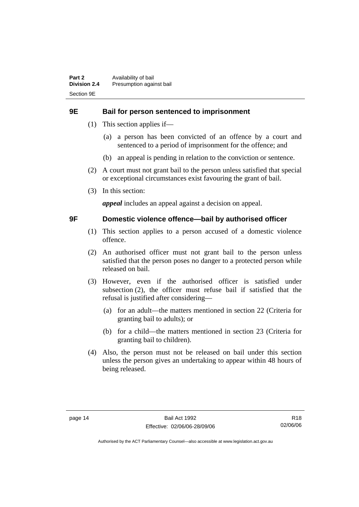### **9E Bail for person sentenced to imprisonment**

- (1) This section applies if—
	- (a) a person has been convicted of an offence by a court and sentenced to a period of imprisonment for the offence; and
	- (b) an appeal is pending in relation to the conviction or sentence.
- (2) A court must not grant bail to the person unless satisfied that special or exceptional circumstances exist favouring the grant of bail.
- (3) In this section:

*appeal* includes an appeal against a decision on appeal.

### **9F Domestic violence offence—bail by authorised officer**

- (1) This section applies to a person accused of a domestic violence offence.
- (2) An authorised officer must not grant bail to the person unless satisfied that the person poses no danger to a protected person while released on bail.
- (3) However, even if the authorised officer is satisfied under subsection (2), the officer must refuse bail if satisfied that the refusal is justified after considering—
	- (a) for an adult—the matters mentioned in section 22 (Criteria for granting bail to adults); or
	- (b) for a child—the matters mentioned in section 23 (Criteria for granting bail to children).
- (4) Also, the person must not be released on bail under this section unless the person gives an undertaking to appear within 48 hours of being released.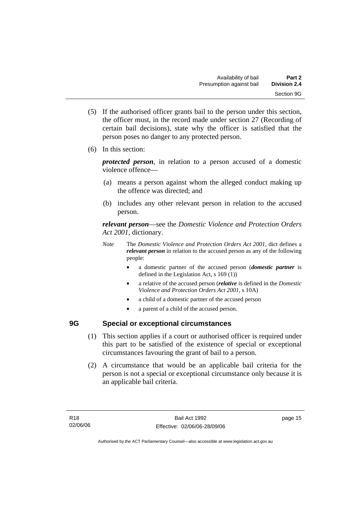- (5) If the authorised officer grants bail to the person under this section, the officer must, in the record made under section 27 (Recording of certain bail decisions), state why the officer is satisfied that the person poses no danger to any protected person.
- (6) In this section:

*protected person*, in relation to a person accused of a domestic violence offence—

- (a) means a person against whom the alleged conduct making up the offence was directed; and
- (b) includes any other relevant person in relation to the accused person.

*relevant person*—see the *Domestic Violence and Protection Orders Act 2001*, dictionary.

- *Note* The *Domestic Violence and Protection Orders Act 2001*, dict defines a *relevant person* in relation to the accused person as any of the following people:
	- a domestic partner of the accused person (*domestic partner* is defined in the Legislation Act, s 169 (1))
	- a relative of the accused person (*relative* is defined in the *Domestic Violence and Protection Orders Act 2001*, s 10A)
	- a child of a domestic partner of the accused person
	- a parent of a child of the accused person.

## **9G Special or exceptional circumstances**

- (1) This section applies if a court or authorised officer is required under this part to be satisfied of the existence of special or exceptional circumstances favouring the grant of bail to a person.
- (2) A circumstance that would be an applicable bail criteria for the person is not a special or exceptional circumstance only because it is an applicable bail criteria.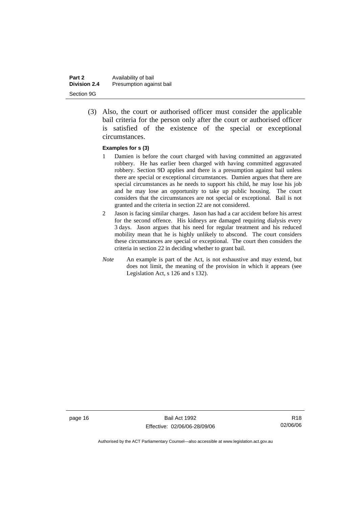| Part 2              | Availability of bail     |
|---------------------|--------------------------|
| <b>Division 2.4</b> | Presumption against bail |
| Section 9G          |                          |

 (3) Also, the court or authorised officer must consider the applicable bail criteria for the person only after the court or authorised officer is satisfied of the existence of the special or exceptional circumstances.

#### **Examples for s (3)**

- 1 Damien is before the court charged with having committed an aggravated robbery. He has earlier been charged with having committed aggravated robbery. Section 9D applies and there is a presumption against bail unless there are special or exceptional circumstances. Damien argues that there are special circumstances as he needs to support his child, he may lose his job and he may lose an opportunity to take up public housing. The court considers that the circumstances are not special or exceptional. Bail is not granted and the criteria in section 22 are not considered.
- 2 Jason is facing similar charges. Jason has had a car accident before his arrest for the second offence. His kidneys are damaged requiring dialysis every 3 days. Jason argues that his need for regular treatment and his reduced mobility mean that he is highly unlikely to abscond. The court considers these circumstances are special or exceptional. The court then considers the criteria in section 22 in deciding whether to grant bail.
- *Note* An example is part of the Act, is not exhaustive and may extend, but does not limit, the meaning of the provision in which it appears (see Legislation Act, s 126 and s 132).

page 16 Bail Act 1992 Effective: 02/06/06-28/09/06

R18 02/06/06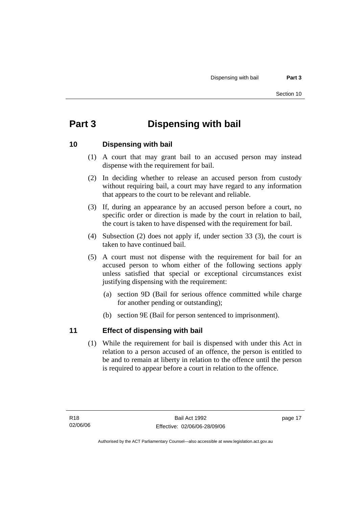## **Part 3 Dispensing with bail**

### **10 Dispensing with bail**

- (1) A court that may grant bail to an accused person may instead dispense with the requirement for bail.
- (2) In deciding whether to release an accused person from custody without requiring bail, a court may have regard to any information that appears to the court to be relevant and reliable.
- (3) If, during an appearance by an accused person before a court, no specific order or direction is made by the court in relation to bail, the court is taken to have dispensed with the requirement for bail.
- (4) Subsection (2) does not apply if, under section 33 (3), the court is taken to have continued bail.
- (5) A court must not dispense with the requirement for bail for an accused person to whom either of the following sections apply unless satisfied that special or exceptional circumstances exist justifying dispensing with the requirement:
	- (a) section 9D (Bail for serious offence committed while charge for another pending or outstanding);
	- (b) section 9E (Bail for person sentenced to imprisonment).

### **11 Effect of dispensing with bail**

 (1) While the requirement for bail is dispensed with under this Act in relation to a person accused of an offence, the person is entitled to be and to remain at liberty in relation to the offence until the person is required to appear before a court in relation to the offence.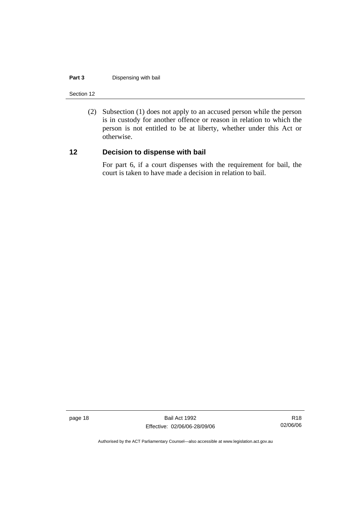#### **Part 3** Dispensing with bail

Section 12

 (2) Subsection (1) does not apply to an accused person while the person is in custody for another offence or reason in relation to which the person is not entitled to be at liberty, whether under this Act or otherwise.

## **12 Decision to dispense with bail**

For part 6, if a court dispenses with the requirement for bail, the court is taken to have made a decision in relation to bail.

page 18 Bail Act 1992 Effective: 02/06/06-28/09/06

R18 02/06/06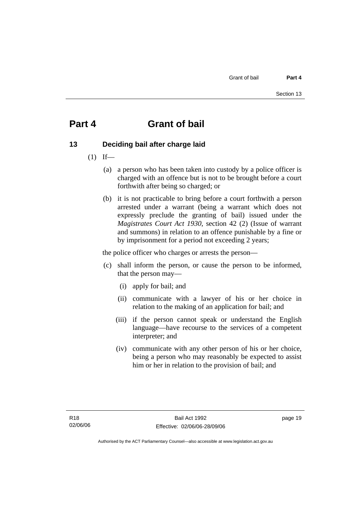## **Part 4 Grant of bail**

## **13 Deciding bail after charge laid**

- $(1)$  If—
	- (a) a person who has been taken into custody by a police officer is charged with an offence but is not to be brought before a court forthwith after being so charged; or
	- (b) it is not practicable to bring before a court forthwith a person arrested under a warrant (being a warrant which does not expressly preclude the granting of bail) issued under the *Magistrates Court Act 1930*, section 42 (2) (Issue of warrant and summons) in relation to an offence punishable by a fine or by imprisonment for a period not exceeding 2 years;

the police officer who charges or arrests the person—

- (c) shall inform the person, or cause the person to be informed, that the person may—
	- (i) apply for bail; and
	- (ii) communicate with a lawyer of his or her choice in relation to the making of an application for bail; and
	- (iii) if the person cannot speak or understand the English language—have recourse to the services of a competent interpreter; and
	- (iv) communicate with any other person of his or her choice, being a person who may reasonably be expected to assist him or her in relation to the provision of bail; and

page 19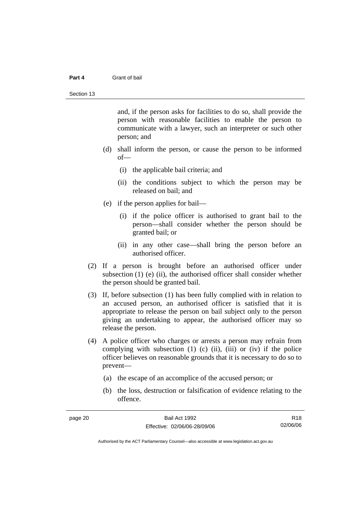#### **Part 4** Grant of bail

and, if the person asks for facilities to do so, shall provide the person with reasonable facilities to enable the person to communicate with a lawyer, such an interpreter or such other person; and

- (d) shall inform the person, or cause the person to be informed of—
	- (i) the applicable bail criteria; and
	- (ii) the conditions subject to which the person may be released on bail; and
- (e) if the person applies for bail—
	- (i) if the police officer is authorised to grant bail to the person—shall consider whether the person should be granted bail; or
	- (ii) in any other case—shall bring the person before an authorised officer.
- (2) If a person is brought before an authorised officer under subsection (1) (e) (ii), the authorised officer shall consider whether the person should be granted bail.
- (3) If, before subsection (1) has been fully complied with in relation to an accused person, an authorised officer is satisfied that it is appropriate to release the person on bail subject only to the person giving an undertaking to appear, the authorised officer may so release the person.
- (4) A police officer who charges or arrests a person may refrain from complying with subsection  $(1)$   $(c)$   $(ii)$ ,  $(iii)$  or  $(iv)$  if the police officer believes on reasonable grounds that it is necessary to do so to prevent—
	- (a) the escape of an accomplice of the accused person; or
	- (b) the loss, destruction or falsification of evidence relating to the offence.

R18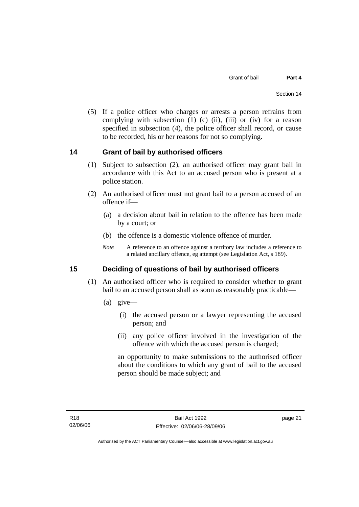(5) If a police officer who charges or arrests a person refrains from complying with subsection  $(1)$   $(c)$   $(ii)$ ,  $(iii)$  or  $(iv)$  for a reason specified in subsection (4), the police officer shall record, or cause to be recorded, his or her reasons for not so complying.

### **14 Grant of bail by authorised officers**

- (1) Subject to subsection (2), an authorised officer may grant bail in accordance with this Act to an accused person who is present at a police station.
- (2) An authorised officer must not grant bail to a person accused of an offence if—
	- (a) a decision about bail in relation to the offence has been made by a court; or
	- (b) the offence is a domestic violence offence of murder.
	- *Note* A reference to an offence against a territory law includes a reference to a related ancillary offence, eg attempt (see Legislation Act, s 189).

## **15 Deciding of questions of bail by authorised officers**

- (1) An authorised officer who is required to consider whether to grant bail to an accused person shall as soon as reasonably practicable—
	- (a) give—
		- (i) the accused person or a lawyer representing the accused person; and
		- (ii) any police officer involved in the investigation of the offence with which the accused person is charged;

an opportunity to make submissions to the authorised officer about the conditions to which any grant of bail to the accused person should be made subject; and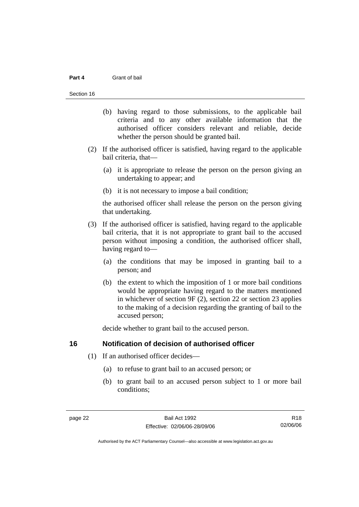#### **Part 4** Grant of bail

#### Section 16

- (b) having regard to those submissions, to the applicable bail criteria and to any other available information that the authorised officer considers relevant and reliable, decide whether the person should be granted bail.
- (2) If the authorised officer is satisfied, having regard to the applicable bail criteria, that—
	- (a) it is appropriate to release the person on the person giving an undertaking to appear; and
	- (b) it is not necessary to impose a bail condition;

the authorised officer shall release the person on the person giving that undertaking.

- (3) If the authorised officer is satisfied, having regard to the applicable bail criteria, that it is not appropriate to grant bail to the accused person without imposing a condition, the authorised officer shall, having regard to—
	- (a) the conditions that may be imposed in granting bail to a person; and
	- (b) the extent to which the imposition of 1 or more bail conditions would be appropriate having regard to the matters mentioned in whichever of section 9F (2), section 22 or section 23 applies to the making of a decision regarding the granting of bail to the accused person;

decide whether to grant bail to the accused person.

#### **16 Notification of decision of authorised officer**

- (1) If an authorised officer decides—
	- (a) to refuse to grant bail to an accused person; or
	- (b) to grant bail to an accused person subject to 1 or more bail conditions;

R18 02/06/06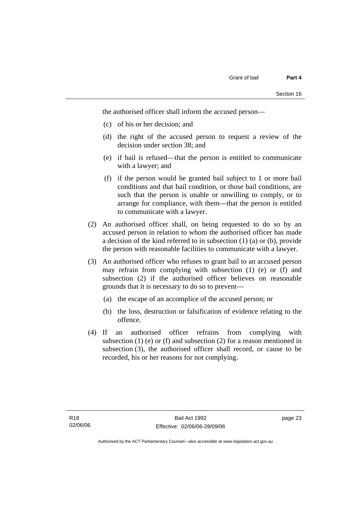the authorised officer shall inform the accused person—

- (c) of his or her decision; and
- (d) the right of the accused person to request a review of the decision under section 38; and
- (e) if bail is refused—that the person is entitled to communicate with a lawyer; and
- (f) if the person would be granted bail subject to 1 or more bail conditions and that bail condition, or those bail conditions, are such that the person is unable or unwilling to comply, or to arrange for compliance, with them—that the person is entitled to communicate with a lawyer.
- (2) An authorised officer shall, on being requested to do so by an accused person in relation to whom the authorised officer has made a decision of the kind referred to in subsection (1) (a) or (b), provide the person with reasonable facilities to communicate with a lawyer.
- (3) An authorised officer who refuses to grant bail to an accused person may refrain from complying with subsection (1) (e) or (f) and subsection (2) if the authorised officer believes on reasonable grounds that it is necessary to do so to prevent—
	- (a) the escape of an accomplice of the accused person; or
	- (b) the loss, destruction or falsification of evidence relating to the offence.
- (4) If an authorised officer refrains from complying with subsection (1) (e) or (f) and subsection (2) for a reason mentioned in subsection (3), the authorised officer shall record, or cause to be recorded, his or her reasons for not complying.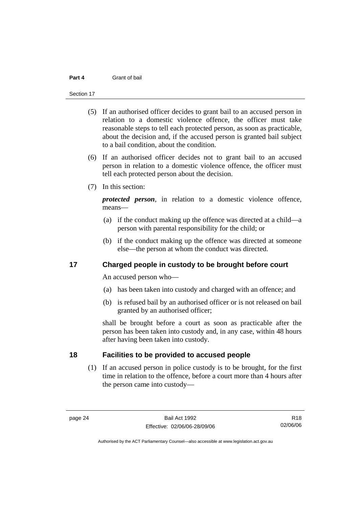#### **Part 4** Grant of bail

#### Section 17

- (5) If an authorised officer decides to grant bail to an accused person in relation to a domestic violence offence, the officer must take reasonable steps to tell each protected person, as soon as practicable, about the decision and, if the accused person is granted bail subject to a bail condition, about the condition.
- (6) If an authorised officer decides not to grant bail to an accused person in relation to a domestic violence offence, the officer must tell each protected person about the decision.
- (7) In this section:

*protected person*, in relation to a domestic violence offence, means—

- (a) if the conduct making up the offence was directed at a child—a person with parental responsibility for the child; or
- (b) if the conduct making up the offence was directed at someone else—the person at whom the conduct was directed.

### **17 Charged people in custody to be brought before court**

An accused person who—

- (a) has been taken into custody and charged with an offence; and
- (b) is refused bail by an authorised officer or is not released on bail granted by an authorised officer;

shall be brought before a court as soon as practicable after the person has been taken into custody and, in any case, within 48 hours after having been taken into custody.

### **18 Facilities to be provided to accused people**

 (1) If an accused person in police custody is to be brought, for the first time in relation to the offence, before a court more than 4 hours after the person came into custody—

R18 02/06/06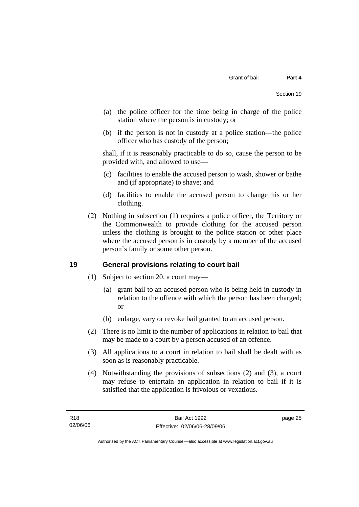- (a) the police officer for the time being in charge of the police station where the person is in custody; or
- (b) if the person is not in custody at a police station—the police officer who has custody of the person;

shall, if it is reasonably practicable to do so, cause the person to be provided with, and allowed to use—

- (c) facilities to enable the accused person to wash, shower or bathe and (if appropriate) to shave; and
- (d) facilities to enable the accused person to change his or her clothing.
- (2) Nothing in subsection (1) requires a police officer, the Territory or the Commonwealth to provide clothing for the accused person unless the clothing is brought to the police station or other place where the accused person is in custody by a member of the accused person's family or some other person.

## **19 General provisions relating to court bail**

- (1) Subject to section 20, a court may—
	- (a) grant bail to an accused person who is being held in custody in relation to the offence with which the person has been charged; or
	- (b) enlarge, vary or revoke bail granted to an accused person.
- (2) There is no limit to the number of applications in relation to bail that may be made to a court by a person accused of an offence.
- (3) All applications to a court in relation to bail shall be dealt with as soon as is reasonably practicable.
- (4) Notwithstanding the provisions of subsections (2) and (3), a court may refuse to entertain an application in relation to bail if it is satisfied that the application is frivolous or vexatious.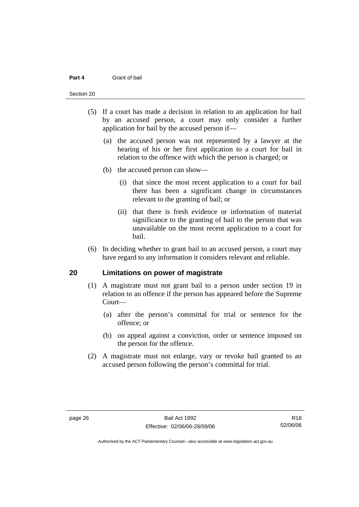#### **Part 4** Grant of bail

#### Section 20

- (5) If a court has made a decision in relation to an application for bail by an accused person, a court may only consider a further application for bail by the accused person if—
	- (a) the accused person was not represented by a lawyer at the hearing of his or her first application to a court for bail in relation to the offence with which the person is charged; or
	- (b) the accused person can show—
		- (i) that since the most recent application to a court for bail there has been a significant change in circumstances relevant to the granting of bail; or
		- (ii) that there is fresh evidence or information of material significance to the granting of bail to the person that was unavailable on the most recent application to a court for bail.
- (6) In deciding whether to grant bail to an accused person, a court may have regard to any information it considers relevant and reliable.

#### **20 Limitations on power of magistrate**

- (1) A magistrate must not grant bail to a person under section 19 in relation to an offence if the person has appeared before the Supreme Court—
	- (a) after the person's committal for trial or sentence for the offence; or
	- (b) on appeal against a conviction, order or sentence imposed on the person for the offence.
- (2) A magistrate must not enlarge, vary or revoke bail granted to an accused person following the person's committal for trial.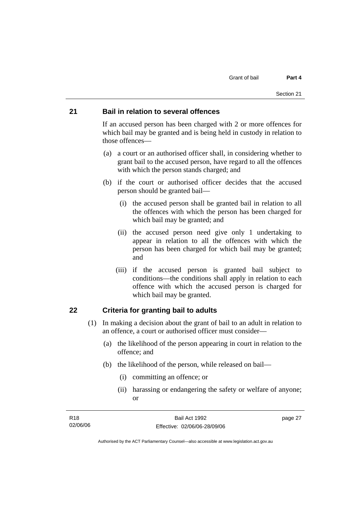#### **21 Bail in relation to several offences**

If an accused person has been charged with 2 or more offences for which bail may be granted and is being held in custody in relation to those offences—

- (a) a court or an authorised officer shall, in considering whether to grant bail to the accused person, have regard to all the offences with which the person stands charged; and
- (b) if the court or authorised officer decides that the accused person should be granted bail—
	- (i) the accused person shall be granted bail in relation to all the offences with which the person has been charged for which bail may be granted; and
	- (ii) the accused person need give only 1 undertaking to appear in relation to all the offences with which the person has been charged for which bail may be granted; and
	- (iii) if the accused person is granted bail subject to conditions—the conditions shall apply in relation to each offence with which the accused person is charged for which bail may be granted.

### **22 Criteria for granting bail to adults**

- (1) In making a decision about the grant of bail to an adult in relation to an offence, a court or authorised officer must consider—
	- (a) the likelihood of the person appearing in court in relation to the offence; and
	- (b) the likelihood of the person, while released on bail—
		- (i) committing an offence; or
		- (ii) harassing or endangering the safety or welfare of anyone; or

| R18      | Bail Act 1992                | page 27 |
|----------|------------------------------|---------|
| 02/06/06 | Effective: 02/06/06-28/09/06 |         |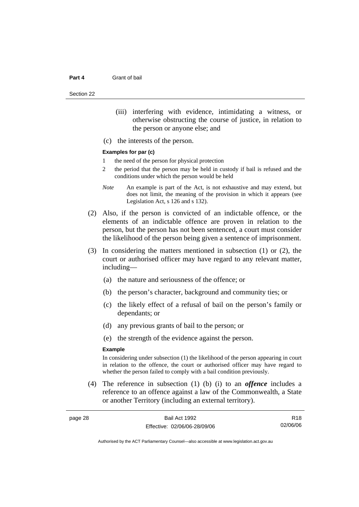Section 22

- (iii) interfering with evidence, intimidating a witness, or otherwise obstructing the course of justice, in relation to the person or anyone else; and
- (c) the interests of the person.

#### **Examples for par (c)**

- 1 the need of the person for physical protection
- 2 the period that the person may be held in custody if bail is refused and the conditions under which the person would be held
- *Note* An example is part of the Act, is not exhaustive and may extend, but does not limit, the meaning of the provision in which it appears (see Legislation Act, s 126 and s 132).
- (2) Also, if the person is convicted of an indictable offence, or the elements of an indictable offence are proven in relation to the person, but the person has not been sentenced, a court must consider the likelihood of the person being given a sentence of imprisonment.
- (3) In considering the matters mentioned in subsection (1) or (2), the court or authorised officer may have regard to any relevant matter, including—
	- (a) the nature and seriousness of the offence; or
	- (b) the person's character, background and community ties; or
	- (c) the likely effect of a refusal of bail on the person's family or dependants; or
	- (d) any previous grants of bail to the person; or
	- (e) the strength of the evidence against the person.

#### **Example**

In considering under subsection (1) the likelihood of the person appearing in court in relation to the offence, the court or authorised officer may have regard to whether the person failed to comply with a bail condition previously.

 (4) The reference in subsection (1) (b) (i) to an *offence* includes a reference to an offence against a law of the Commonwealth, a State or another Territory (including an external territory).

| page 28 | Bail Act 1992                | R <sub>18</sub> |
|---------|------------------------------|-----------------|
|         | Effective: 02/06/06-28/09/06 | 02/06/06        |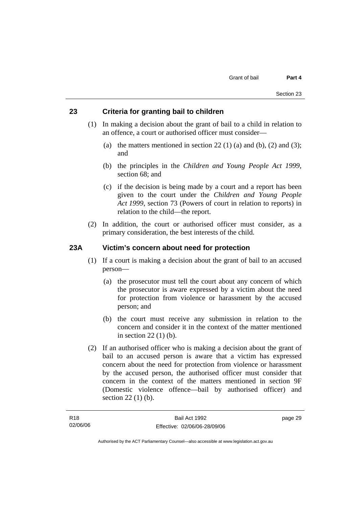#### **23 Criteria for granting bail to children**

- (1) In making a decision about the grant of bail to a child in relation to an offence, a court or authorised officer must consider—
	- (a) the matters mentioned in section 22 (1) (a) and (b), (2) and (3); and
	- (b) the principles in the *Children and Young People Act 1999*, section 68; and
	- (c) if the decision is being made by a court and a report has been given to the court under the *Children and Young People Act 1999*, section 73 (Powers of court in relation to reports) in relation to the child—the report.
- (2) In addition, the court or authorised officer must consider, as a primary consideration, the best interests of the child.

#### **23A Victim's concern about need for protection**

- (1) If a court is making a decision about the grant of bail to an accused person—
	- (a) the prosecutor must tell the court about any concern of which the prosecutor is aware expressed by a victim about the need for protection from violence or harassment by the accused person; and
	- (b) the court must receive any submission in relation to the concern and consider it in the context of the matter mentioned in section 22 (1) (b).
- (2) If an authorised officer who is making a decision about the grant of bail to an accused person is aware that a victim has expressed concern about the need for protection from violence or harassment by the accused person, the authorised officer must consider that concern in the context of the matters mentioned in section 9F (Domestic violence offence—bail by authorised officer) and section 22 (1) (b).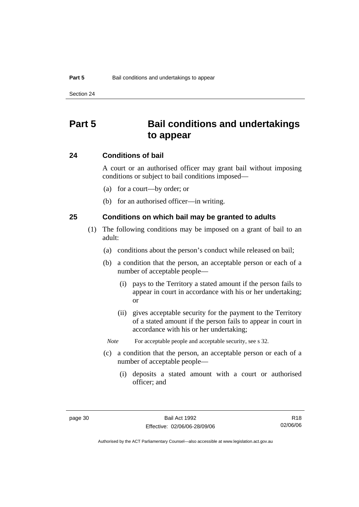## **Part 5 Bail conditions and undertakings to appear**

#### **24 Conditions of bail**

A court or an authorised officer may grant bail without imposing conditions or subject to bail conditions imposed—

- (a) for a court—by order; or
- (b) for an authorised officer—in writing.

#### **25 Conditions on which bail may be granted to adults**

- (1) The following conditions may be imposed on a grant of bail to an adult:
	- (a) conditions about the person's conduct while released on bail;
	- (b) a condition that the person, an acceptable person or each of a number of acceptable people—
		- (i) pays to the Territory a stated amount if the person fails to appear in court in accordance with his or her undertaking; or
		- (ii) gives acceptable security for the payment to the Territory of a stated amount if the person fails to appear in court in accordance with his or her undertaking;
		- *Note* For acceptable people and acceptable security, see s 32.
	- (c) a condition that the person, an acceptable person or each of a number of acceptable people—
		- (i) deposits a stated amount with a court or authorised officer; and

R18 02/06/06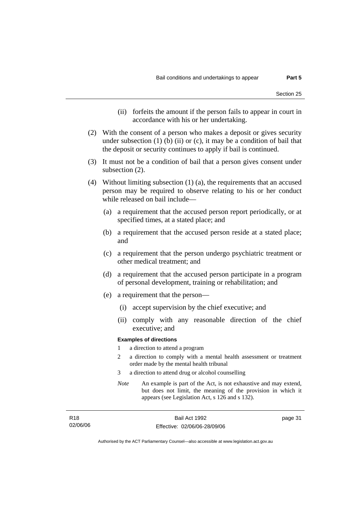- (ii) forfeits the amount if the person fails to appear in court in accordance with his or her undertaking.
- (2) With the consent of a person who makes a deposit or gives security under subsection  $(1)$  (b)  $(ii)$  or  $(c)$ , it may be a condition of bail that the deposit or security continues to apply if bail is continued.
- (3) It must not be a condition of bail that a person gives consent under subsection (2).
- (4) Without limiting subsection (1) (a), the requirements that an accused person may be required to observe relating to his or her conduct while released on bail include—
	- (a) a requirement that the accused person report periodically, or at specified times, at a stated place; and
	- (b) a requirement that the accused person reside at a stated place; and
	- (c) a requirement that the person undergo psychiatric treatment or other medical treatment; and
	- (d) a requirement that the accused person participate in a program of personal development, training or rehabilitation; and
	- (e) a requirement that the person—
		- (i) accept supervision by the chief executive; and
		- (ii) comply with any reasonable direction of the chief executive; and

#### **Examples of directions**

- 1 a direction to attend a program
- 2 a direction to comply with a mental health assessment or treatment order made by the mental health tribunal
- 3 a direction to attend drug or alcohol counselling
- *Note* An example is part of the Act, is not exhaustive and may extend, but does not limit, the meaning of the provision in which it appears (see Legislation Act, s 126 and s 132).

page 31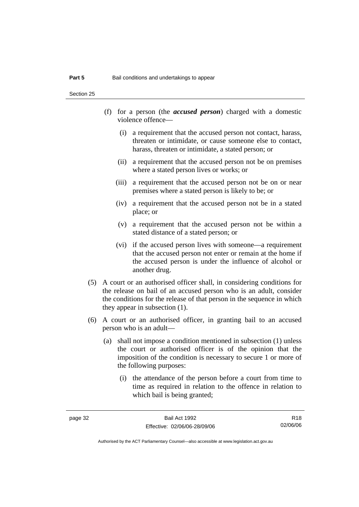Section 25

- (f) for a person (the *accused person*) charged with a domestic violence offence—
	- (i) a requirement that the accused person not contact, harass, threaten or intimidate, or cause someone else to contact, harass, threaten or intimidate, a stated person; or
	- (ii) a requirement that the accused person not be on premises where a stated person lives or works; or
	- (iii) a requirement that the accused person not be on or near premises where a stated person is likely to be; or
	- (iv) a requirement that the accused person not be in a stated place; or
	- (v) a requirement that the accused person not be within a stated distance of a stated person; or
	- (vi) if the accused person lives with someone—a requirement that the accused person not enter or remain at the home if the accused person is under the influence of alcohol or another drug.
- (5) A court or an authorised officer shall, in considering conditions for the release on bail of an accused person who is an adult, consider the conditions for the release of that person in the sequence in which they appear in subsection (1).
- (6) A court or an authorised officer, in granting bail to an accused person who is an adult—
	- (a) shall not impose a condition mentioned in subsection (1) unless the court or authorised officer is of the opinion that the imposition of the condition is necessary to secure 1 or more of the following purposes:
		- (i) the attendance of the person before a court from time to time as required in relation to the offence in relation to which bail is being granted;

R18 02/06/06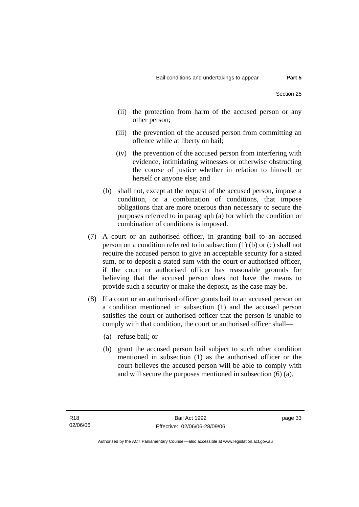- (ii) the protection from harm of the accused person or any other person;
- (iii) the prevention of the accused person from committing an offence while at liberty on bail;
- (iv) the prevention of the accused person from interfering with evidence, intimidating witnesses or otherwise obstructing the course of justice whether in relation to himself or herself or anyone else; and
- (b) shall not, except at the request of the accused person, impose a condition, or a combination of conditions, that impose obligations that are more onerous than necessary to secure the purposes referred to in paragraph (a) for which the condition or combination of conditions is imposed.
- (7) A court or an authorised officer, in granting bail to an accused person on a condition referred to in subsection (1) (b) or (c) shall not require the accused person to give an acceptable security for a stated sum, or to deposit a stated sum with the court or authorised officer, if the court or authorised officer has reasonable grounds for believing that the accused person does not have the means to provide such a security or make the deposit, as the case may be.
- (8) If a court or an authorised officer grants bail to an accused person on a condition mentioned in subsection (1) and the accused person satisfies the court or authorised officer that the person is unable to comply with that condition, the court or authorised officer shall—
	- (a) refuse bail; or
	- (b) grant the accused person bail subject to such other condition mentioned in subsection (1) as the authorised officer or the court believes the accused person will be able to comply with and will secure the purposes mentioned in subsection (6) (a).

page 33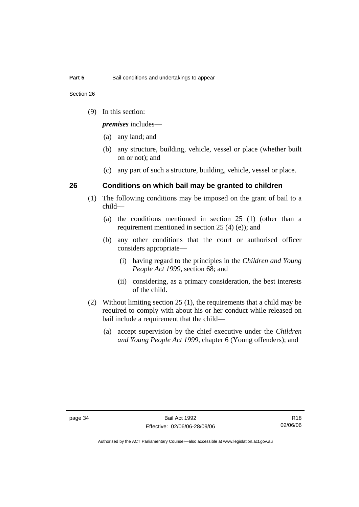Section 26

(9) In this section:

*premises* includes—

- (a) any land; and
- (b) any structure, building, vehicle, vessel or place (whether built on or not); and
- (c) any part of such a structure, building, vehicle, vessel or place.

#### **26 Conditions on which bail may be granted to children**

- (1) The following conditions may be imposed on the grant of bail to a child—
	- (a) the conditions mentioned in section 25 (1) (other than a requirement mentioned in section 25 (4) (e)); and
	- (b) any other conditions that the court or authorised officer considers appropriate—
		- (i) having regard to the principles in the *Children and Young People Act 1999*, section 68; and
		- (ii) considering, as a primary consideration, the best interests of the child.
- (2) Without limiting section 25 (1), the requirements that a child may be required to comply with about his or her conduct while released on bail include a requirement that the child—
	- (a) accept supervision by the chief executive under the *Children and Young People Act 1999,* chapter 6 (Young offenders); and

R18 02/06/06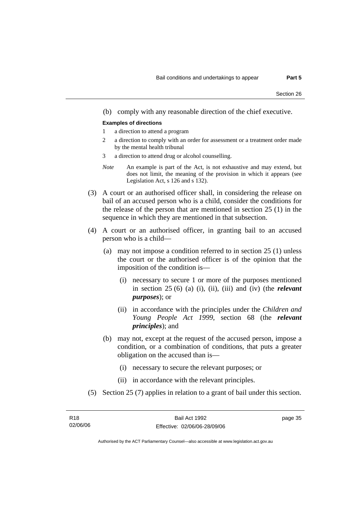(b) comply with any reasonable direction of the chief executive.

#### **Examples of directions**

- 1 a direction to attend a program
- 2 a direction to comply with an order for assessment or a treatment order made by the mental health tribunal
- 3 a direction to attend drug or alcohol counselling.
- *Note* An example is part of the Act, is not exhaustive and may extend, but does not limit, the meaning of the provision in which it appears (see Legislation Act, s 126 and s 132).
- (3) A court or an authorised officer shall, in considering the release on bail of an accused person who is a child, consider the conditions for the release of the person that are mentioned in section 25 (1) in the sequence in which they are mentioned in that subsection.
- (4) A court or an authorised officer, in granting bail to an accused person who is a child—
	- (a) may not impose a condition referred to in section 25 (1) unless the court or the authorised officer is of the opinion that the imposition of the condition is—
		- (i) necessary to secure 1 or more of the purposes mentioned in section 25 (6) (a) (i), (ii), (iii) and (iv) (the *relevant purposes*); or
		- (ii) in accordance with the principles under the *Children and Young People Act 1999*, section 68 (the *relevant principles*); and
	- (b) may not, except at the request of the accused person, impose a condition, or a combination of conditions, that puts a greater obligation on the accused than is—
		- (i) necessary to secure the relevant purposes; or
		- (ii) in accordance with the relevant principles.
- (5) Section 25 (7) applies in relation to a grant of bail under this section.

| R <sub>18</sub> | Bail Act 1992                | page 35 |
|-----------------|------------------------------|---------|
| 02/06/06        | Effective: 02/06/06-28/09/06 |         |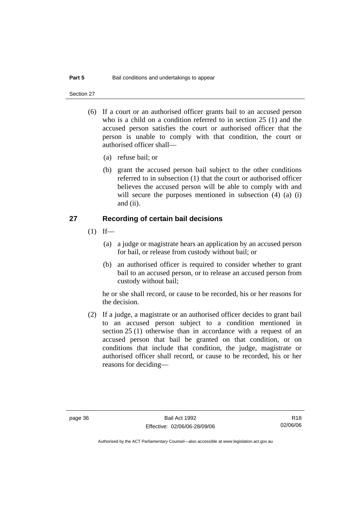Section 27

- (6) If a court or an authorised officer grants bail to an accused person who is a child on a condition referred to in section 25 (1) and the accused person satisfies the court or authorised officer that the person is unable to comply with that condition, the court or authorised officer shall—
	- (a) refuse bail; or
	- (b) grant the accused person bail subject to the other conditions referred to in subsection (1) that the court or authorised officer believes the accused person will be able to comply with and will secure the purposes mentioned in subsection (4) (a) (i) and (ii).

#### **27 Recording of certain bail decisions**

- $(1)$  If—
	- (a) a judge or magistrate hears an application by an accused person for bail, or release from custody without bail; or
	- (b) an authorised officer is required to consider whether to grant bail to an accused person, or to release an accused person from custody without bail;

he or she shall record, or cause to be recorded, his or her reasons for the decision.

 (2) If a judge, a magistrate or an authorised officer decides to grant bail to an accused person subject to a condition mentioned in section 25 (1) otherwise than in accordance with a request of an accused person that bail be granted on that condition, or on conditions that include that condition, the judge, magistrate or authorised officer shall record, or cause to be recorded, his or her reasons for deciding—

R18 02/06/06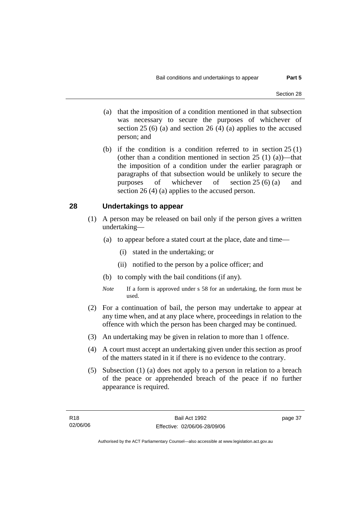- 
- (a) that the imposition of a condition mentioned in that subsection was necessary to secure the purposes of whichever of section  $25(6)$  (a) and section  $26(4)$  (a) applies to the accused person; and
- (b) if the condition is a condition referred to in section 25 (1) (other than a condition mentioned in section  $25(1)(a)$ —that the imposition of a condition under the earlier paragraph or paragraphs of that subsection would be unlikely to secure the purposes of whichever of section 25 (6) (a) and section 26 (4) (a) applies to the accused person.

#### **28 Undertakings to appear**

- (1) A person may be released on bail only if the person gives a written undertaking—
	- (a) to appear before a stated court at the place, date and time—
		- (i) stated in the undertaking; or
		- (ii) notified to the person by a police officer; and
	- (b) to comply with the bail conditions (if any).
	- *Note* If a form is approved under s 58 for an undertaking, the form must be used.
- (2) For a continuation of bail, the person may undertake to appear at any time when, and at any place where, proceedings in relation to the offence with which the person has been charged may be continued.
- (3) An undertaking may be given in relation to more than 1 offence.
- (4) A court must accept an undertaking given under this section as proof of the matters stated in it if there is no evidence to the contrary.
- (5) Subsection (1) (a) does not apply to a person in relation to a breach of the peace or apprehended breach of the peace if no further appearance is required.

page 37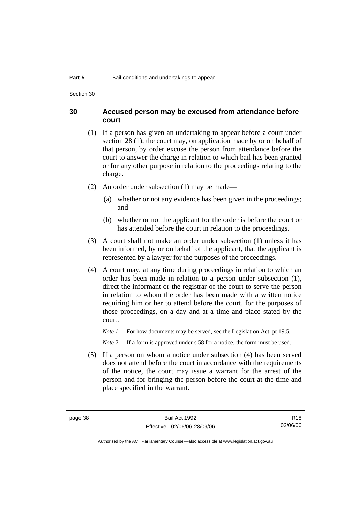Section 30

#### **30 Accused person may be excused from attendance before court**

- (1) If a person has given an undertaking to appear before a court under section 28 (1), the court may, on application made by or on behalf of that person, by order excuse the person from attendance before the court to answer the charge in relation to which bail has been granted or for any other purpose in relation to the proceedings relating to the charge.
- (2) An order under subsection (1) may be made—
	- (a) whether or not any evidence has been given in the proceedings; and
	- (b) whether or not the applicant for the order is before the court or has attended before the court in relation to the proceedings.
- (3) A court shall not make an order under subsection (1) unless it has been informed, by or on behalf of the applicant, that the applicant is represented by a lawyer for the purposes of the proceedings.
- (4) A court may, at any time during proceedings in relation to which an order has been made in relation to a person under subsection (1), direct the informant or the registrar of the court to serve the person in relation to whom the order has been made with a written notice requiring him or her to attend before the court, for the purposes of those proceedings, on a day and at a time and place stated by the court.

*Note 1* For how documents may be served, see the Legislation Act, pt 19.5.

*Note* 2 If a form is approved under s 58 for a notice, the form must be used.

 (5) If a person on whom a notice under subsection (4) has been served does not attend before the court in accordance with the requirements of the notice, the court may issue a warrant for the arrest of the person and for bringing the person before the court at the time and place specified in the warrant.

R18 02/06/06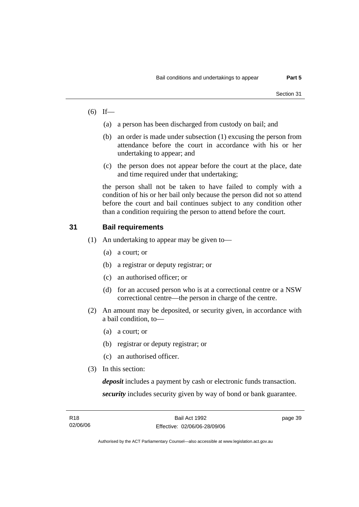- $(6)$  If—
	- (a) a person has been discharged from custody on bail; and
	- (b) an order is made under subsection (1) excusing the person from attendance before the court in accordance with his or her undertaking to appear; and
	- (c) the person does not appear before the court at the place, date and time required under that undertaking;

the person shall not be taken to have failed to comply with a condition of his or her bail only because the person did not so attend before the court and bail continues subject to any condition other than a condition requiring the person to attend before the court.

#### **31 Bail requirements**

- (1) An undertaking to appear may be given to—
	- (a) a court; or
	- (b) a registrar or deputy registrar; or
	- (c) an authorised officer; or
	- (d) for an accused person who is at a correctional centre or a NSW correctional centre—the person in charge of the centre.
- (2) An amount may be deposited, or security given, in accordance with a bail condition, to—
	- (a) a court; or
	- (b) registrar or deputy registrar; or
	- (c) an authorised officer.
- (3) In this section:

*deposit* includes a payment by cash or electronic funds transaction. *security* includes security given by way of bond or bank guarantee.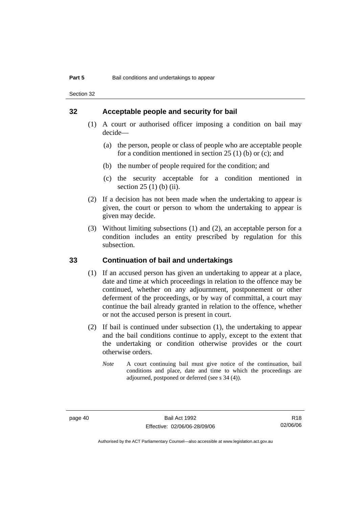Section 32

#### **32 Acceptable people and security for bail**

- (1) A court or authorised officer imposing a condition on bail may decide—
	- (a) the person, people or class of people who are acceptable people for a condition mentioned in section  $25(1)$  (b) or (c); and
	- (b) the number of people required for the condition; and
	- (c) the security acceptable for a condition mentioned in section 25 (1) (b) (ii).
- (2) If a decision has not been made when the undertaking to appear is given, the court or person to whom the undertaking to appear is given may decide.
- (3) Without limiting subsections (1) and (2), an acceptable person for a condition includes an entity prescribed by regulation for this subsection.

#### **33 Continuation of bail and undertakings**

- (1) If an accused person has given an undertaking to appear at a place, date and time at which proceedings in relation to the offence may be continued, whether on any adjournment, postponement or other deferment of the proceedings, or by way of committal, a court may continue the bail already granted in relation to the offence, whether or not the accused person is present in court.
- (2) If bail is continued under subsection (1), the undertaking to appear and the bail conditions continue to apply, except to the extent that the undertaking or condition otherwise provides or the court otherwise orders.
	- *Note* A court continuing bail must give notice of the continuation, bail conditions and place, date and time to which the proceedings are adjourned, postponed or deferred (see s 34 (4)).

R18 02/06/06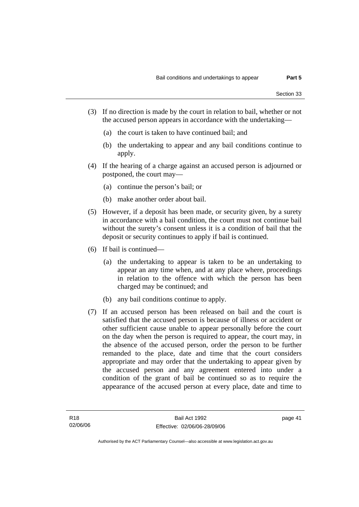- (3) If no direction is made by the court in relation to bail, whether or not the accused person appears in accordance with the undertaking—
	- (a) the court is taken to have continued bail; and
	- (b) the undertaking to appear and any bail conditions continue to apply.
- (4) If the hearing of a charge against an accused person is adjourned or postponed, the court may—
	- (a) continue the person's bail; or
	- (b) make another order about bail.
- (5) However, if a deposit has been made, or security given, by a surety in accordance with a bail condition, the court must not continue bail without the surety's consent unless it is a condition of bail that the deposit or security continues to apply if bail is continued.
- (6) If bail is continued—
	- (a) the undertaking to appear is taken to be an undertaking to appear an any time when, and at any place where, proceedings in relation to the offence with which the person has been charged may be continued; and
	- (b) any bail conditions continue to apply.
- (7) If an accused person has been released on bail and the court is satisfied that the accused person is because of illness or accident or other sufficient cause unable to appear personally before the court on the day when the person is required to appear, the court may, in the absence of the accused person, order the person to be further remanded to the place, date and time that the court considers appropriate and may order that the undertaking to appear given by the accused person and any agreement entered into under a condition of the grant of bail be continued so as to require the appearance of the accused person at every place, date and time to

page 41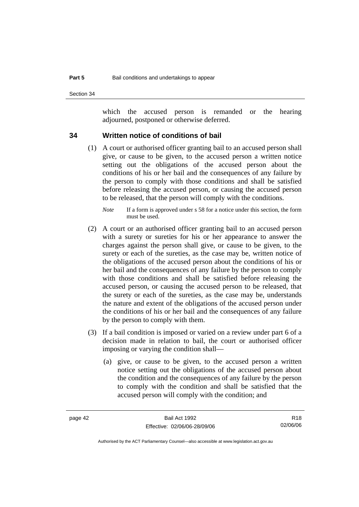Section 34

which the accused person is remanded or the hearing adjourned, postponed or otherwise deferred.

#### **34 Written notice of conditions of bail**

 (1) A court or authorised officer granting bail to an accused person shall give, or cause to be given, to the accused person a written notice setting out the obligations of the accused person about the conditions of his or her bail and the consequences of any failure by the person to comply with those conditions and shall be satisfied before releasing the accused person, or causing the accused person to be released, that the person will comply with the conditions.

- (2) A court or an authorised officer granting bail to an accused person with a surety or sureties for his or her appearance to answer the charges against the person shall give, or cause to be given, to the surety or each of the sureties, as the case may be, written notice of the obligations of the accused person about the conditions of his or her bail and the consequences of any failure by the person to comply with those conditions and shall be satisfied before releasing the accused person, or causing the accused person to be released, that the surety or each of the sureties, as the case may be, understands the nature and extent of the obligations of the accused person under the conditions of his or her bail and the consequences of any failure by the person to comply with them.
- (3) If a bail condition is imposed or varied on a review under part 6 of a decision made in relation to bail, the court or authorised officer imposing or varying the condition shall—
	- (a) give, or cause to be given, to the accused person a written notice setting out the obligations of the accused person about the condition and the consequences of any failure by the person to comply with the condition and shall be satisfied that the accused person will comply with the condition; and

R18 02/06/06

*Note* If a form is approved under s 58 for a notice under this section, the form must be used.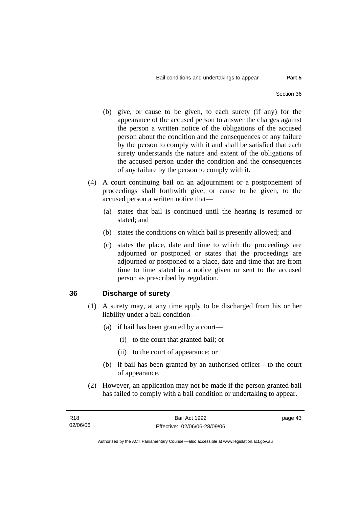- (b) give, or cause to be given, to each surety (if any) for the appearance of the accused person to answer the charges against the person a written notice of the obligations of the accused person about the condition and the consequences of any failure by the person to comply with it and shall be satisfied that each surety understands the nature and extent of the obligations of the accused person under the condition and the consequences of any failure by the person to comply with it.
- (4) A court continuing bail on an adjournment or a postponement of proceedings shall forthwith give, or cause to be given, to the accused person a written notice that—
	- (a) states that bail is continued until the hearing is resumed or stated; and
	- (b) states the conditions on which bail is presently allowed; and
	- (c) states the place, date and time to which the proceedings are adjourned or postponed or states that the proceedings are adjourned or postponed to a place, date and time that are from time to time stated in a notice given or sent to the accused person as prescribed by regulation.

#### **36 Discharge of surety**

- (1) A surety may, at any time apply to be discharged from his or her liability under a bail condition—
	- (a) if bail has been granted by a court—
		- (i) to the court that granted bail; or
		- (ii) to the court of appearance; or
	- (b) if bail has been granted by an authorised officer—to the court of appearance.
- (2) However, an application may not be made if the person granted bail has failed to comply with a bail condition or undertaking to appear.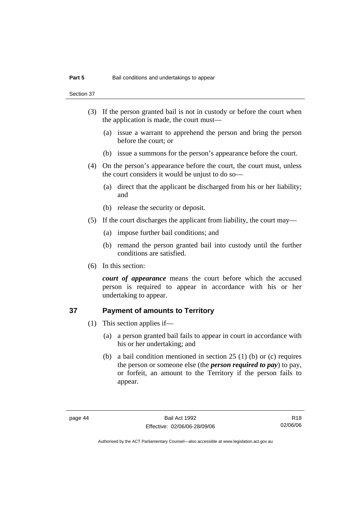Section 37

- (3) If the person granted bail is not in custody or before the court when the application is made, the court must—
	- (a) issue a warrant to apprehend the person and bring the person before the court; or
	- (b) issue a summons for the person's appearance before the court.
- (4) On the person's appearance before the court, the court must, unless the court considers it would be unjust to do so—
	- (a) direct that the applicant be discharged from his or her liability; and
	- (b) release the security or deposit.
- (5) If the court discharges the applicant from liability, the court may—
	- (a) impose further bail conditions; and
	- (b) remand the person granted bail into custody until the further conditions are satisfied.
- (6) In this section:

*court of appearance* means the court before which the accused person is required to appear in accordance with his or her undertaking to appear.

#### **37 Payment of amounts to Territory**

- (1) This section applies if—
	- (a) a person granted bail fails to appear in court in accordance with his or her undertaking; and
	- (b) a bail condition mentioned in section 25 (1) (b) or (c) requires the person or someone else (the *person required to pay*) to pay, or forfeit, an amount to the Territory if the person fails to appear.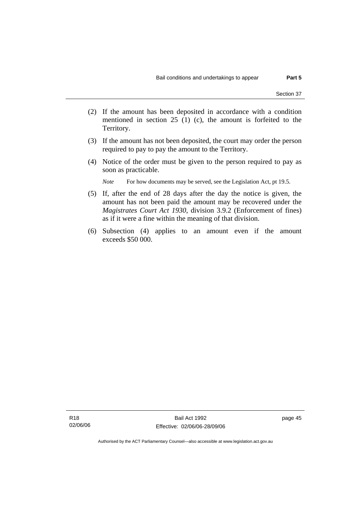- (2) If the amount has been deposited in accordance with a condition
- mentioned in section 25 (1) (c), the amount is forfeited to the Territory.
- (3) If the amount has not been deposited, the court may order the person required to pay to pay the amount to the Territory.
- (4) Notice of the order must be given to the person required to pay as soon as practicable.

*Note* For how documents may be served, see the Legislation Act, pt 19.5.

- (5) If, after the end of 28 days after the day the notice is given, the amount has not been paid the amount may be recovered under the *Magistrates Court Act 1930*, division 3.9.2 (Enforcement of fines) as if it were a fine within the meaning of that division.
- (6) Subsection (4) applies to an amount even if the amount exceeds \$50 000.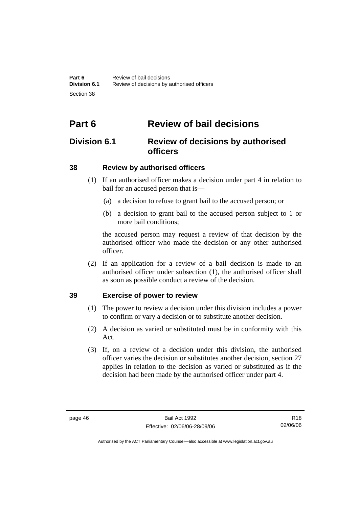# **Part 6 Review of bail decisions**

## **Division 6.1 Review of decisions by authorised officers**

### **38 Review by authorised officers**

- (1) If an authorised officer makes a decision under part 4 in relation to bail for an accused person that is—
	- (a) a decision to refuse to grant bail to the accused person; or
	- (b) a decision to grant bail to the accused person subject to 1 or more bail conditions;

the accused person may request a review of that decision by the authorised officer who made the decision or any other authorised officer.

 (2) If an application for a review of a bail decision is made to an authorised officer under subsection (1), the authorised officer shall as soon as possible conduct a review of the decision.

### **39 Exercise of power to review**

- (1) The power to review a decision under this division includes a power to confirm or vary a decision or to substitute another decision.
- (2) A decision as varied or substituted must be in conformity with this Act.
- (3) If, on a review of a decision under this division, the authorised officer varies the decision or substitutes another decision, section 27 applies in relation to the decision as varied or substituted as if the decision had been made by the authorised officer under part 4.

R18 02/06/06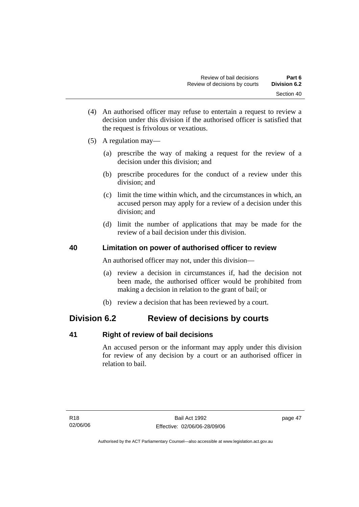- (4) An authorised officer may refuse to entertain a request to review a decision under this division if the authorised officer is satisfied that the request is frivolous or vexatious.
- (5) A regulation may—
	- (a) prescribe the way of making a request for the review of a decision under this division; and
	- (b) prescribe procedures for the conduct of a review under this division; and
	- (c) limit the time within which, and the circumstances in which, an accused person may apply for a review of a decision under this division; and
	- (d) limit the number of applications that may be made for the review of a bail decision under this division.

### **40 Limitation on power of authorised officer to review**

An authorised officer may not, under this division—

- (a) review a decision in circumstances if, had the decision not been made, the authorised officer would be prohibited from making a decision in relation to the grant of bail; or
- (b) review a decision that has been reviewed by a court.

### **Division 6.2 Review of decisions by courts**

### **41 Right of review of bail decisions**

An accused person or the informant may apply under this division for review of any decision by a court or an authorised officer in relation to bail.

page 47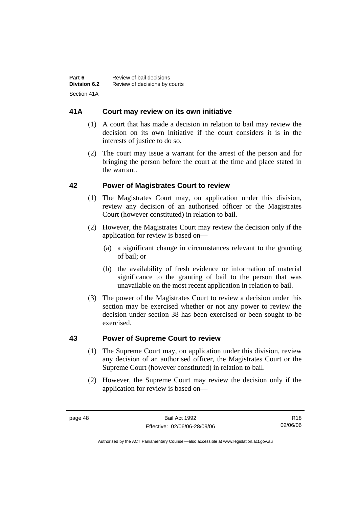### **41A Court may review on its own initiative**

- (1) A court that has made a decision in relation to bail may review the decision on its own initiative if the court considers it is in the interests of justice to do so.
- (2) The court may issue a warrant for the arrest of the person and for bringing the person before the court at the time and place stated in the warrant.

### **42 Power of Magistrates Court to review**

- (1) The Magistrates Court may, on application under this division, review any decision of an authorised officer or the Magistrates Court (however constituted) in relation to bail.
- (2) However, the Magistrates Court may review the decision only if the application for review is based on—
	- (a) a significant change in circumstances relevant to the granting of bail; or
	- (b) the availability of fresh evidence or information of material significance to the granting of bail to the person that was unavailable on the most recent application in relation to bail.
- (3) The power of the Magistrates Court to review a decision under this section may be exercised whether or not any power to review the decision under section 38 has been exercised or been sought to be exercised.

### **43 Power of Supreme Court to review**

- (1) The Supreme Court may, on application under this division, review any decision of an authorised officer, the Magistrates Court or the Supreme Court (however constituted) in relation to bail.
- (2) However, the Supreme Court may review the decision only if the application for review is based on—

R18 02/06/06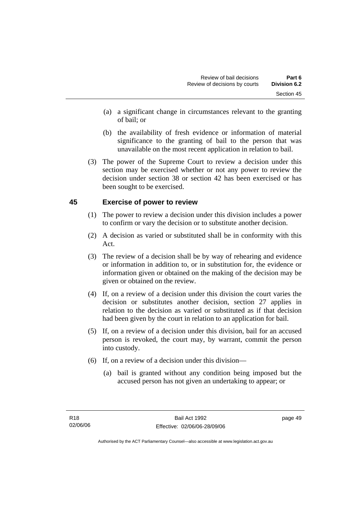- (a) a significant change in circumstances relevant to the granting of bail; or
- (b) the availability of fresh evidence or information of material significance to the granting of bail to the person that was unavailable on the most recent application in relation to bail.
- (3) The power of the Supreme Court to review a decision under this section may be exercised whether or not any power to review the decision under section 38 or section 42 has been exercised or has been sought to be exercised.

### **45 Exercise of power to review**

- (1) The power to review a decision under this division includes a power to confirm or vary the decision or to substitute another decision.
- (2) A decision as varied or substituted shall be in conformity with this Act.
- (3) The review of a decision shall be by way of rehearing and evidence or information in addition to, or in substitution for, the evidence or information given or obtained on the making of the decision may be given or obtained on the review.
- (4) If, on a review of a decision under this division the court varies the decision or substitutes another decision, section 27 applies in relation to the decision as varied or substituted as if that decision had been given by the court in relation to an application for bail.
- (5) If, on a review of a decision under this division, bail for an accused person is revoked, the court may, by warrant, commit the person into custody.
- (6) If, on a review of a decision under this division—
	- (a) bail is granted without any condition being imposed but the accused person has not given an undertaking to appear; or

page 49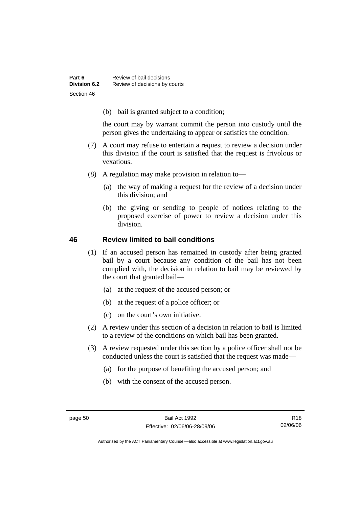(b) bail is granted subject to a condition;

the court may by warrant commit the person into custody until the person gives the undertaking to appear or satisfies the condition.

- (7) A court may refuse to entertain a request to review a decision under this division if the court is satisfied that the request is frivolous or vexatious.
- (8) A regulation may make provision in relation to—
	- (a) the way of making a request for the review of a decision under this division; and
	- (b) the giving or sending to people of notices relating to the proposed exercise of power to review a decision under this division.

#### **46 Review limited to bail conditions**

- (1) If an accused person has remained in custody after being granted bail by a court because any condition of the bail has not been complied with, the decision in relation to bail may be reviewed by the court that granted bail—
	- (a) at the request of the accused person; or
	- (b) at the request of a police officer; or
	- (c) on the court's own initiative.
- (2) A review under this section of a decision in relation to bail is limited to a review of the conditions on which bail has been granted.
- (3) A review requested under this section by a police officer shall not be conducted unless the court is satisfied that the request was made—
	- (a) for the purpose of benefiting the accused person; and
	- (b) with the consent of the accused person.

R18 02/06/06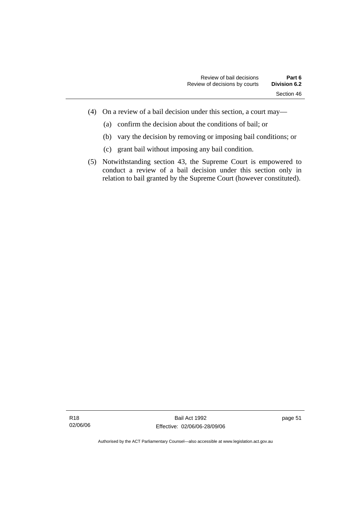- (4) On a review of a bail decision under this section, a court may—
	- (a) confirm the decision about the conditions of bail; or
	- (b) vary the decision by removing or imposing bail conditions; or
	- (c) grant bail without imposing any bail condition.
- (5) Notwithstanding section 43, the Supreme Court is empowered to conduct a review of a bail decision under this section only in relation to bail granted by the Supreme Court (however constituted).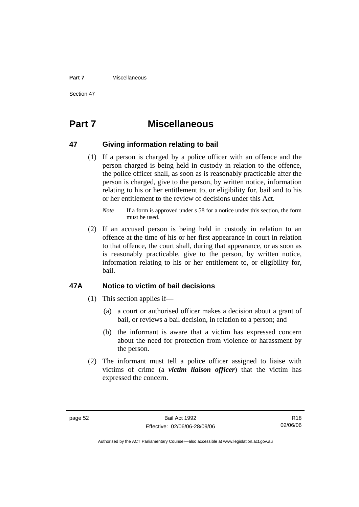#### **Part 7** Miscellaneous

Section 47

# **Part 7 Miscellaneous**

#### **47 Giving information relating to bail**

 (1) If a person is charged by a police officer with an offence and the person charged is being held in custody in relation to the offence, the police officer shall, as soon as is reasonably practicable after the person is charged, give to the person, by written notice, information relating to his or her entitlement to, or eligibility for, bail and to his or her entitlement to the review of decisions under this Act.

 (2) If an accused person is being held in custody in relation to an offence at the time of his or her first appearance in court in relation to that offence, the court shall, during that appearance, or as soon as is reasonably practicable, give to the person, by written notice, information relating to his or her entitlement to, or eligibility for, bail.

#### **47A Notice to victim of bail decisions**

- (1) This section applies if—
	- (a) a court or authorised officer makes a decision about a grant of bail, or reviews a bail decision, in relation to a person; and
	- (b) the informant is aware that a victim has expressed concern about the need for protection from violence or harassment by the person.
- (2) The informant must tell a police officer assigned to liaise with victims of crime (a *victim liaison officer*) that the victim has expressed the concern.

R18 02/06/06

*Note* If a form is approved under s 58 for a notice under this section, the form must be used.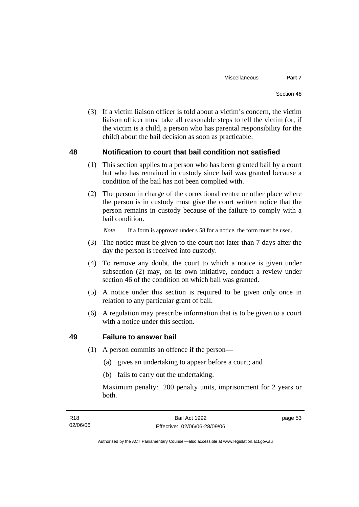(3) If a victim liaison officer is told about a victim's concern, the victim liaison officer must take all reasonable steps to tell the victim (or, if the victim is a child, a person who has parental responsibility for the child) about the bail decision as soon as practicable.

#### **48 Notification to court that bail condition not satisfied**

- (1) This section applies to a person who has been granted bail by a court but who has remained in custody since bail was granted because a condition of the bail has not been complied with.
- (2) The person in charge of the correctional centre or other place where the person is in custody must give the court written notice that the person remains in custody because of the failure to comply with a bail condition.

*Note* If a form is approved under s 58 for a notice, the form must be used.

- (3) The notice must be given to the court not later than 7 days after the day the person is received into custody.
- (4) To remove any doubt, the court to which a notice is given under subsection (2) may, on its own initiative, conduct a review under section 46 of the condition on which bail was granted.
- (5) A notice under this section is required to be given only once in relation to any particular grant of bail.
- (6) A regulation may prescribe information that is to be given to a court with a notice under this section.

#### **49 Failure to answer bail**

- (1) A person commits an offence if the person—
	- (a) gives an undertaking to appear before a court; and
	- (b) fails to carry out the undertaking.

Maximum penalty: 200 penalty units, imprisonment for 2 years or both.

page 53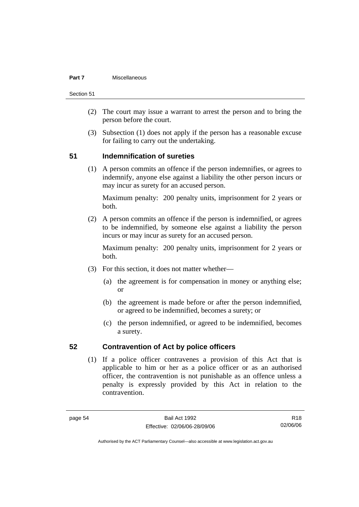#### **Part 7** Miscellaneous

Section 51

- (2) The court may issue a warrant to arrest the person and to bring the person before the court.
- (3) Subsection (1) does not apply if the person has a reasonable excuse for failing to carry out the undertaking.

#### **51 Indemnification of sureties**

 (1) A person commits an offence if the person indemnifies, or agrees to indemnify, anyone else against a liability the other person incurs or may incur as surety for an accused person.

Maximum penalty: 200 penalty units, imprisonment for 2 years or both.

 (2) A person commits an offence if the person is indemnified, or agrees to be indemnified, by someone else against a liability the person incurs or may incur as surety for an accused person.

Maximum penalty: 200 penalty units, imprisonment for 2 years or both.

- (3) For this section, it does not matter whether—
	- (a) the agreement is for compensation in money or anything else; or
	- (b) the agreement is made before or after the person indemnified, or agreed to be indemnified, becomes a surety; or
	- (c) the person indemnified, or agreed to be indemnified, becomes a surety.

#### **52 Contravention of Act by police officers**

 (1) If a police officer contravenes a provision of this Act that is applicable to him or her as a police officer or as an authorised officer, the contravention is not punishable as an offence unless a penalty is expressly provided by this Act in relation to the contravention.

R18 02/06/06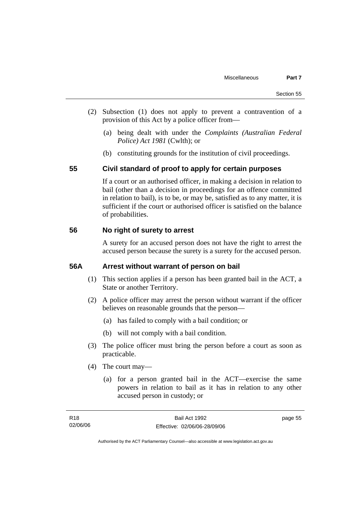- (2) Subsection (1) does not apply to prevent a contravention of a provision of this Act by a police officer from—
	- (a) being dealt with under the *Complaints (Australian Federal Police) Act 1981* (Cwlth); or
	- (b) constituting grounds for the institution of civil proceedings.

#### **55 Civil standard of proof to apply for certain purposes**

If a court or an authorised officer, in making a decision in relation to bail (other than a decision in proceedings for an offence committed in relation to bail), is to be, or may be, satisfied as to any matter, it is sufficient if the court or authorised officer is satisfied on the balance of probabilities.

#### **56 No right of surety to arrest**

A surety for an accused person does not have the right to arrest the accused person because the surety is a surety for the accused person.

#### **56A Arrest without warrant of person on bail**

- (1) This section applies if a person has been granted bail in the ACT, a State or another Territory.
- (2) A police officer may arrest the person without warrant if the officer believes on reasonable grounds that the person—
	- (a) has failed to comply with a bail condition; or
	- (b) will not comply with a bail condition.
- (3) The police officer must bring the person before a court as soon as practicable.
- (4) The court may—
	- (a) for a person granted bail in the ACT—exercise the same powers in relation to bail as it has in relation to any other accused person in custody; or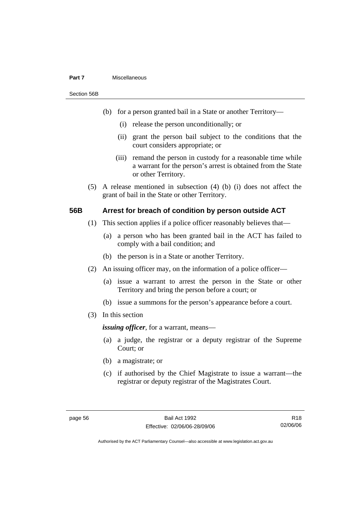#### **Part 7** Miscellaneous

Section 56B

- (b) for a person granted bail in a State or another Territory—
	- (i) release the person unconditionally; or
	- (ii) grant the person bail subject to the conditions that the court considers appropriate; or
	- (iii) remand the person in custody for a reasonable time while a warrant for the person's arrest is obtained from the State or other Territory.
- (5) A release mentioned in subsection (4) (b) (i) does not affect the grant of bail in the State or other Territory.

#### **56B Arrest for breach of condition by person outside ACT**

- (1) This section applies if a police officer reasonably believes that—
	- (a) a person who has been granted bail in the ACT has failed to comply with a bail condition; and
	- (b) the person is in a State or another Territory.
- (2) An issuing officer may, on the information of a police officer—
	- (a) issue a warrant to arrest the person in the State or other Territory and bring the person before a court; or
	- (b) issue a summons for the person's appearance before a court.
- (3) In this section

*issuing officer*, for a warrant, means—

- (a) a judge, the registrar or a deputy registrar of the Supreme Court; or
- (b) a magistrate; or
- (c) if authorised by the Chief Magistrate to issue a warrant—the registrar or deputy registrar of the Magistrates Court.

R18 02/06/06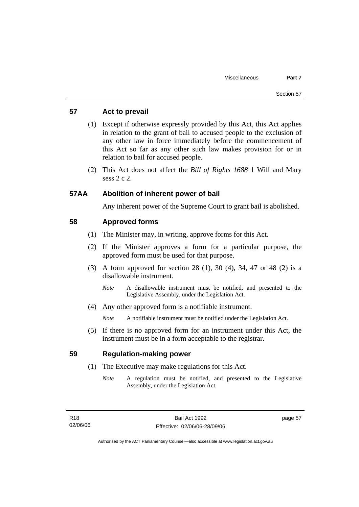### **57 Act to prevail**

- (1) Except if otherwise expressly provided by this Act, this Act applies in relation to the grant of bail to accused people to the exclusion of any other law in force immediately before the commencement of this Act so far as any other such law makes provision for or in relation to bail for accused people.
- (2) This Act does not affect the *Bill of Rights 1688* 1 Will and Mary sess 2 c 2.

#### **57AA Abolition of inherent power of bail**

Any inherent power of the Supreme Court to grant bail is abolished.

#### **58 Approved forms**

- (1) The Minister may, in writing, approve forms for this Act.
- (2) If the Minister approves a form for a particular purpose, the approved form must be used for that purpose.
- (3) A form approved for section 28 (1), 30 (4), 34, 47 or 48 (2) is a disallowable instrument.
	- *Note* A disallowable instrument must be notified, and presented to the Legislative Assembly, under the Legislation Act.
- (4) Any other approved form is a notifiable instrument.

*Note* A notifiable instrument must be notified under the Legislation Act.

 (5) If there is no approved form for an instrument under this Act, the instrument must be in a form acceptable to the registrar.

#### **59 Regulation-making power**

- (1) The Executive may make regulations for this Act.
	- *Note* A regulation must be notified, and presented to the Legislative Assembly, under the Legislation Act.

page 57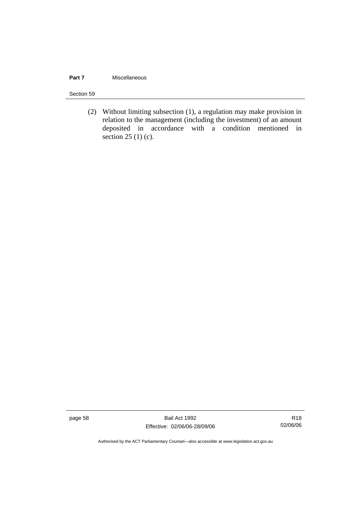#### **Part 7 Miscellaneous**

#### Section 59

 (2) Without limiting subsection (1), a regulation may make provision in relation to the management (including the investment) of an amount deposited in accordance with a condition mentioned in section  $25(1)(c)$ .

page 58 Bail Act 1992 Effective: 02/06/06-28/09/06

R18 02/06/06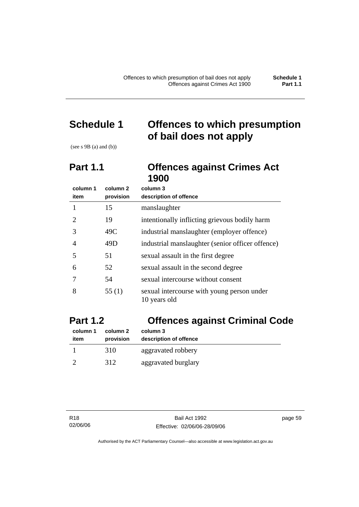# **Schedule 1 Offences to which presumption of bail does not apply**

(see  $s$  9B (a) and (b))

# **Part 1.1 Offences against Crimes Act 1900**

| column 1                    | column <sub>2</sub> | column 3                                                   |
|-----------------------------|---------------------|------------------------------------------------------------|
| item                        | provision           | description of offence                                     |
|                             | 15                  | manslaughter                                               |
| $\mathcal{D}_{\mathcal{L}}$ | 19                  | intentionally inflicting grievous bodily harm              |
| 3                           | 49C                 | industrial manslaughter (employer offence)                 |
| 4                           | 49D                 | industrial manslaughter (senior officer offence)           |
| 5                           | 51                  | sexual assault in the first degree                         |
| 6                           | 52                  | sexual assault in the second degree                        |
|                             | 54                  | sexual intercourse without consent                         |
| 8                           | 55 $(1)$            | sexual intercourse with young person under<br>10 years old |

# **Part 1.2 Offences against Criminal Code**

| column 1<br>item | column 2<br>provision | column 3<br>description of offence |  |
|------------------|-----------------------|------------------------------------|--|
|                  | 310                   | aggravated robbery                 |  |
|                  | 312                   | aggravated burglary                |  |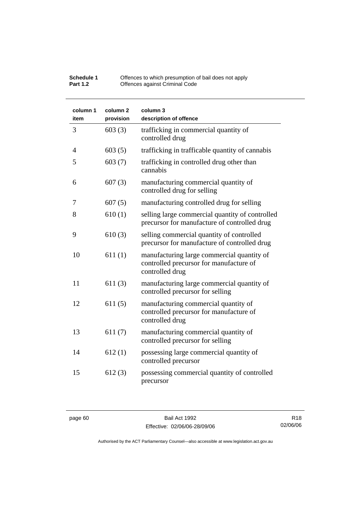| <b>Schedule 1</b> | Offences to which presumption of bail does not apply |
|-------------------|------------------------------------------------------|
| <b>Part 1.2</b>   | Offences against Criminal Code                       |

| column 1<br>item | column <sub>2</sub><br>provision | column 3<br>description of offence                                                                       |
|------------------|----------------------------------|----------------------------------------------------------------------------------------------------------|
| 3                | 603(3)                           | trafficking in commercial quantity of<br>controlled drug                                                 |
| $\overline{4}$   | 603(5)                           | trafficking in trafficable quantity of cannabis                                                          |
| 5                | 603(7)                           | trafficking in controlled drug other than<br>cannabis                                                    |
| 6                | 607(3)                           | manufacturing commercial quantity of<br>controlled drug for selling                                      |
| 7                | 607(5)                           | manufacturing controlled drug for selling                                                                |
| 8                | 610(1)                           | selling large commercial quantity of controlled<br>precursor for manufacture of controlled drug          |
| 9                | 610(3)                           | selling commercial quantity of controlled<br>precursor for manufacture of controlled drug                |
| 10               | 611(1)                           | manufacturing large commercial quantity of<br>controlled precursor for manufacture of<br>controlled drug |
| 11               | 611(3)                           | manufacturing large commercial quantity of<br>controlled precursor for selling                           |
| 12               | 611(5)                           | manufacturing commercial quantity of<br>controlled precursor for manufacture of<br>controlled drug       |
| 13               | 611(7)                           | manufacturing commercial quantity of<br>controlled precursor for selling                                 |
| 14               | 612(1)                           | possessing large commercial quantity of<br>controlled precursor                                          |
| 15               | 612(3)                           | possessing commercial quantity of controlled<br>precursor                                                |

page 60 Bail Act 1992 Effective: 02/06/06-28/09/06

R18 02/06/06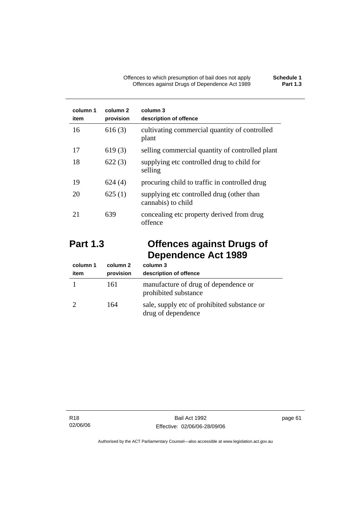| column 1<br>item | column 2<br>provision | column 3<br>description of offence                              |
|------------------|-----------------------|-----------------------------------------------------------------|
| 16               | 616(3)                | cultivating commercial quantity of controlled<br>plant          |
| 17               | 619(3)                | selling commercial quantity of controlled plant                 |
| 18               | 622(3)                | supplying etc controlled drug to child for<br>selling           |
| 19               | 624(4)                | procuring child to traffic in controlled drug                   |
| 20               | 625(1)                | supplying etc controlled drug (other than<br>cannabis) to child |
| 21               | 639                   | concealing etc property derived from drug<br>offence            |

# **Part 1.3 Offences against Drugs of Dependence Act 1989**

| column 1<br>item | column 2<br>provision | column 3<br>description of offence                                |
|------------------|-----------------------|-------------------------------------------------------------------|
|                  | 161                   | manufacture of drug of dependence or<br>prohibited substance      |
|                  | 164                   | sale, supply etc of prohibited substance or<br>drug of dependence |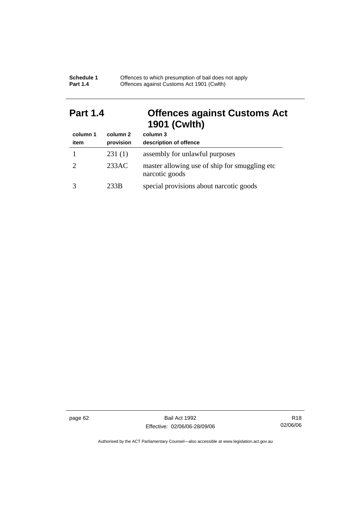| <b>Schedule 1</b> | Offences to which presumption of bail does not apply |
|-------------------|------------------------------------------------------|
| <b>Part 1.4</b>   | Offences against Customs Act 1901 (Cwith)            |

# **Part 1.4 Offences against Customs Act 1901 (Cwlth)**

| column 1 | column 2  | column 3                                                        |
|----------|-----------|-----------------------------------------------------------------|
| item     | provision | description of offence                                          |
|          | 231(1)    | assembly for unlawful purposes                                  |
|          | 233AC     | master allowing use of ship for smuggling etc<br>narcotic goods |
|          | 233B      | special provisions about narcotic goods                         |

page 62 Bail Act 1992 Effective: 02/06/06-28/09/06

R18 02/06/06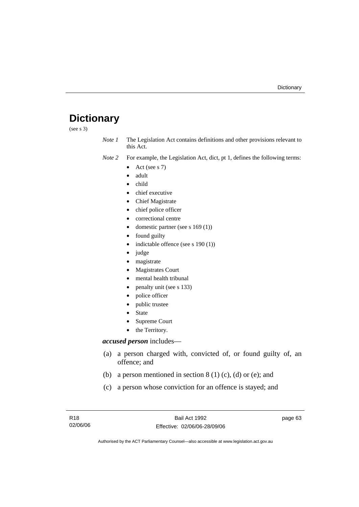# **Dictionary**

(see s 3)

*Note 1* The Legislation Act contains definitions and other provisions relevant to this Act.

- *Note 2* For example, the Legislation Act, dict, pt 1, defines the following terms:
	- Act (see s  $7$ )
	- adult
	- child
	- chief executive
	- Chief Magistrate
	- chief police officer
	- correctional centre
	- domestic partner (see s 169 (1))
	- found guilty
	- indictable offence (see s 190 (1))
	- judge
	- magistrate
	- Magistrates Court
	- mental health tribunal
	- penalty unit (see s 133)
	- police officer
	- public trustee
	- **State**
	- Supreme Court
	- the Territory.

#### *accused person* includes—

- (a) a person charged with, convicted of, or found guilty of, an offence; and
- (b) a person mentioned in section  $8(1)(c)$ , (d) or (e); and
- (c) a person whose conviction for an offence is stayed; and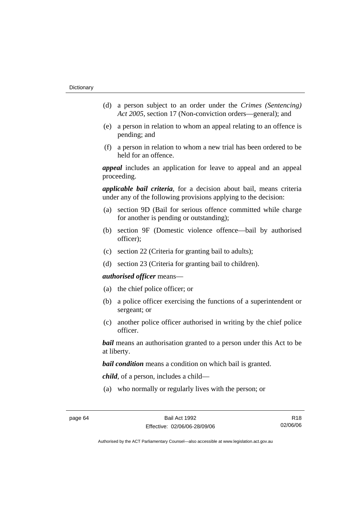- (d) a person subject to an order under the *Crimes (Sentencing) Act 2005*, section 17 (Non-conviction orders—general); and
- (e) a person in relation to whom an appeal relating to an offence is pending; and
- (f) a person in relation to whom a new trial has been ordered to be held for an offence.

*appeal* includes an application for leave to appeal and an appeal proceeding.

*applicable bail criteria*, for a decision about bail, means criteria under any of the following provisions applying to the decision:

- (a) section 9D (Bail for serious offence committed while charge for another is pending or outstanding);
- (b) section 9F (Domestic violence offence—bail by authorised officer);
- (c) section 22 (Criteria for granting bail to adults);
- (d) section 23 (Criteria for granting bail to children).

#### *authorised officer* means—

- (a) the chief police officer; or
- (b) a police officer exercising the functions of a superintendent or sergeant; or
- (c) another police officer authorised in writing by the chief police officer.

*bail* means an authorisation granted to a person under this Act to be at liberty.

*bail condition* means a condition on which bail is granted.

*child*, of a person, includes a child—

(a) who normally or regularly lives with the person; or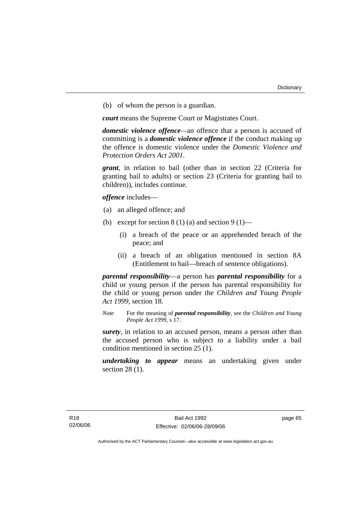(b) of whom the person is a guardian.

*court* means the Supreme Court or Magistrates Court.

*domestic violence offence—*an offence that a person is accused of committing is a *domestic violence offence* if the conduct making up the offence is domestic violence under the *Domestic Violence and Protection Orders Act 2001*.

*grant*, in relation to bail (other than in section 22 (Criteria for granting bail to adults) or section 23 (Criteria for granting bail to children)), includes continue.

*offence* includes—

- (a) an alleged offence; and
- (b) except for section  $8(1)(a)$  and section  $9(1)$ 
	- (i) a breach of the peace or an apprehended breach of the peace; and
	- (ii) a breach of an obligation mentioned in section 8A (Entitlement to bail—breach of sentence obligations).

*parental responsibility*—a person has *parental responsibility* for a child or young person if the person has parental responsibility for the child or young person under the *Children and Young People Act 1999*, section 18.

*Note* For the meaning of *parental responsibility*, see the *Children and Young People Act 1999*, s 17.

*surety*, in relation to an accused person, means a person other than the accused person who is subject to a liability under a bail condition mentioned in section 25 (1).

*undertaking to appear* means an undertaking given under section 28 (1).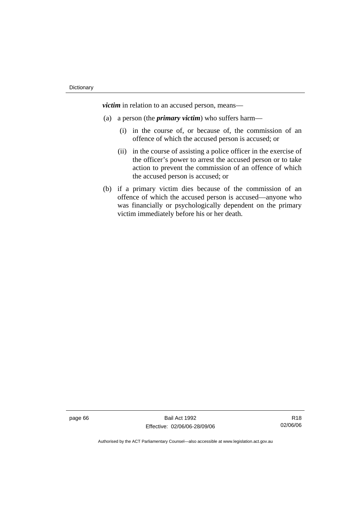*victim* in relation to an accused person, means—

- (a) a person (the *primary victim*) who suffers harm—
	- (i) in the course of, or because of, the commission of an offence of which the accused person is accused; or
	- (ii) in the course of assisting a police officer in the exercise of the officer's power to arrest the accused person or to take action to prevent the commission of an offence of which the accused person is accused; or
- (b) if a primary victim dies because of the commission of an offence of which the accused person is accused—anyone who was financially or psychologically dependent on the primary victim immediately before his or her death.

page 66 Bail Act 1992 Effective: 02/06/06-28/09/06

R18 02/06/06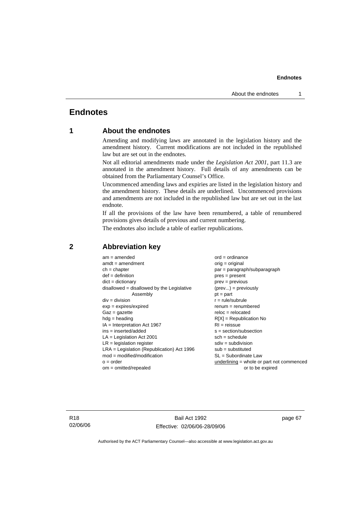# **Endnotes**

## **1 About the endnotes**

Amending and modifying laws are annotated in the legislation history and the amendment history. Current modifications are not included in the republished law but are set out in the endnotes.

Not all editorial amendments made under the *Legislation Act 2001*, part 11.3 are annotated in the amendment history. Full details of any amendments can be obtained from the Parliamentary Counsel's Office.

Uncommenced amending laws and expiries are listed in the legislation history and the amendment history. These details are underlined. Uncommenced provisions and amendments are not included in the republished law but are set out in the last endnote.

If all the provisions of the law have been renumbered, a table of renumbered provisions gives details of previous and current numbering.

The endnotes also include a table of earlier republications.

| $am = amended$                               | $ord = ordinance$                         |
|----------------------------------------------|-------------------------------------------|
| $amdt = amendment$                           | orig = original                           |
| $ch = chapter$                               | par = paragraph/subparagraph              |
| $def = definition$                           | $pres = present$                          |
| $dict = dictionary$                          | $prev = previous$                         |
| disallowed = disallowed by the Legislative   | $(\text{prev}) = \text{previously}$       |
| Assembly                                     | $pt = part$                               |
| $div = division$                             | $r = rule/subrule$                        |
| $exp = expires/expired$                      | $renum = renumbered$                      |
| $Gaz = gazette$                              | $reloc = relocated$                       |
| $hdg =$ heading                              | $R[X]$ = Republication No                 |
| $IA = Interpretation Act 1967$               | $RI = reissue$                            |
| $ins = inserted/added$                       | $s = section/subsection$                  |
| $LA =$ Legislation Act 2001                  | $sch = schedule$                          |
| $LR =$ legislation register                  | $sdiv = subdivision$                      |
| $LRA =$ Legislation (Republication) Act 1996 | $sub = substituted$                       |
| $mod = modified/modification$                | SL = Subordinate Law                      |
| $o = order$                                  | underlining = whole or part not commenced |
| $om = omitted/repealed$                      | or to be expired                          |
|                                              |                                           |

## **2 Abbreviation key**

R18 02/06/06

Bail Act 1992 Effective: 02/06/06-28/09/06 page 67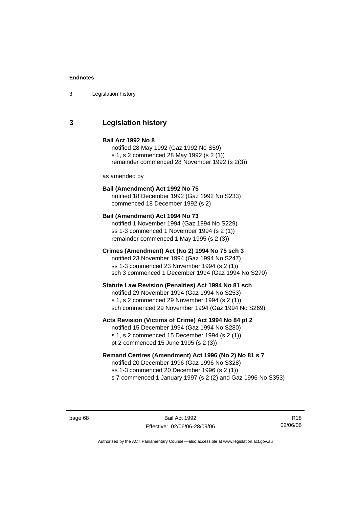## **3 Legislation history**

## **Bail Act 1992 No 8**

notified 28 May 1992 (Gaz 1992 No S59) s 1, s 2 commenced 28 May 1992 (s 2 (1)) remainder commenced 28 November 1992 (s 2(3))

as amended by

# **Bail (Amendment) Act 1992 No 75**

notified 18 December 1992 (Gaz 1992 No S233) commenced 18 December 1992 (s 2)

#### **Bail (Amendment) Act 1994 No 73**

notified 1 November 1994 (Gaz 1994 No S229) ss 1-3 commenced 1 November 1994 (s 2 (1)) remainder commenced 1 May 1995 (s 2 (3))

#### **Crimes (Amendment) Act (No 2) 1994 No 75 sch 3**

notified 23 November 1994 (Gaz 1994 No S247) ss 1-3 commenced 23 November 1994 (s 2 (1)) sch 3 commenced 1 December 1994 (Gaz 1994 No S270)

#### **Statute Law Revision (Penalties) Act 1994 No 81 sch**

notified 29 November 1994 (Gaz 1994 No S253) s 1, s 2 commenced 29 November 1994 (s 2 (1)) sch commenced 29 November 1994 (Gaz 1994 No S269)

#### **Acts Revision (Victims of Crime) Act 1994 No 84 pt 2**

notified 15 December 1994 (Gaz 1994 No S280) s 1, s 2 commenced 15 December 1994 (s 2 (1)) pt 2 commenced 15 June 1995 (s 2 (3))

## **Remand Centres (Amendment) Act 1996 (No 2) No 81 s 7**

notified 20 December 1996 (Gaz 1996 No S328) ss 1-3 commenced 20 December 1996 (s 2 (1)) s 7 commenced 1 January 1997 (s 2 (2) and Gaz 1996 No S353)

page 68 Bail Act 1992 Effective: 02/06/06-28/09/06

R18 02/06/06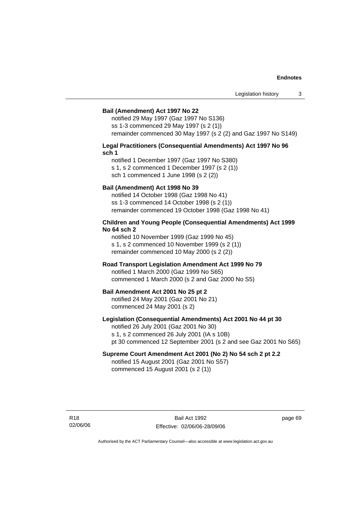#### **Bail (Amendment) Act 1997 No 22**

notified 29 May 1997 (Gaz 1997 No S136) ss 1-3 commenced 29 May 1997 (s 2 (1)) remainder commenced 30 May 1997 (s 2 (2) and Gaz 1997 No S149)

#### **Legal Practitioners (Consequential Amendments) Act 1997 No 96 sch 1**

notified 1 December 1997 (Gaz 1997 No S380) s 1, s 2 commenced 1 December 1997 (s 2 (1)) sch 1 commenced 1 June 1998 (s 2 (2))

#### **Bail (Amendment) Act 1998 No 39**

notified 14 October 1998 (Gaz 1998 No 41) ss 1-3 commenced 14 October 1998 (s 2 (1)) remainder commenced 19 October 1998 (Gaz 1998 No 41)

#### **Children and Young People (Consequential Amendments) Act 1999 No 64 sch 2**

notified 10 November 1999 (Gaz 1999 No 45) s 1, s 2 commenced 10 November 1999 (s 2 (1)) remainder commenced 10 May 2000 (s 2 (2))

#### **Road Transport Legislation Amendment Act 1999 No 79**

notified 1 March 2000 (Gaz 1999 No S65) commenced 1 March 2000 (s 2 and Gaz 2000 No S5)

#### **Bail Amendment Act 2001 No 25 pt 2**

notified 24 May 2001 (Gaz 2001 No 21) commenced 24 May 2001 (s 2)

## **Legislation (Consequential Amendments) Act 2001 No 44 pt 30**

notified 26 July 2001 (Gaz 2001 No 30) s 1, s 2 commenced 26 July 2001 (IA s 10B) pt 30 commenced 12 September 2001 (s 2 and see Gaz 2001 No S65)

## **Supreme Court Amendment Act 2001 (No 2) No 54 sch 2 pt 2.2**

notified 15 August 2001 (Gaz 2001 No S57) commenced 15 August 2001 (s 2 (1))

R18 02/06/06 page 69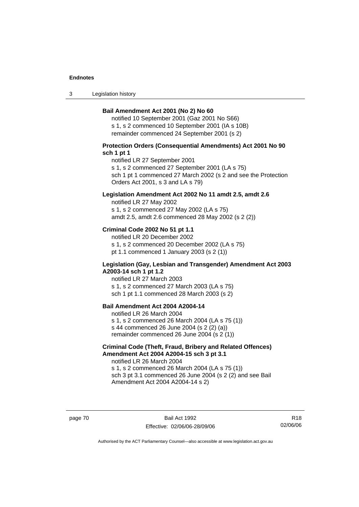3 Legislation history

### **Bail Amendment Act 2001 (No 2) No 60**

notified 10 September 2001 (Gaz 2001 No S66) s 1, s 2 commenced 10 September 2001 (IA s 10B) remainder commenced 24 September 2001 (s 2)

## **Protection Orders (Consequential Amendments) Act 2001 No 90 sch 1 pt 1**

notified LR 27 September 2001

s 1, s 2 commenced 27 September 2001 (LA s 75)

sch 1 pt 1 commenced 27 March 2002 (s 2 and see the Protection Orders Act 2001, s 3 and LA s 79)

### **Legislation Amendment Act 2002 No 11 amdt 2.5, amdt 2.6**

notified LR 27 May 2002 s 1, s 2 commenced 27 May 2002 (LA s 75) amdt 2.5, amdt 2.6 commenced 28 May 2002 (s 2 (2))

#### **Criminal Code 2002 No 51 pt 1.1**

notified LR 20 December 2002 s 1, s 2 commenced 20 December 2002 (LA s 75) pt 1.1 commenced 1 January 2003 (s 2 (1))

#### **Legislation (Gay, Lesbian and Transgender) Amendment Act 2003 A2003-14 sch 1 pt 1.2**

notified LR 27 March 2003 s 1, s 2 commenced 27 March 2003 (LA s 75) sch 1 pt 1.1 commenced 28 March 2003 (s 2)

## **Bail Amendment Act 2004 A2004-14**

notified LR 26 March 2004 s 1, s 2 commenced 26 March 2004 (LA s 75 (1)) s 44 commenced 26 June 2004 (s 2 (2) (a)) remainder commenced 26 June 2004 (s 2 (1))

## **Criminal Code (Theft, Fraud, Bribery and Related Offences) Amendment Act 2004 A2004-15 sch 3 pt 3.1**

notified LR 26 March 2004 s 1, s 2 commenced 26 March 2004 (LA s 75 (1)) sch 3 pt 3.1 commenced 26 June 2004 (s 2 (2) and see Bail Amendment Act 2004 A2004-14 s 2)

page 70 Bail Act 1992 Effective: 02/06/06-28/09/06

R18 02/06/06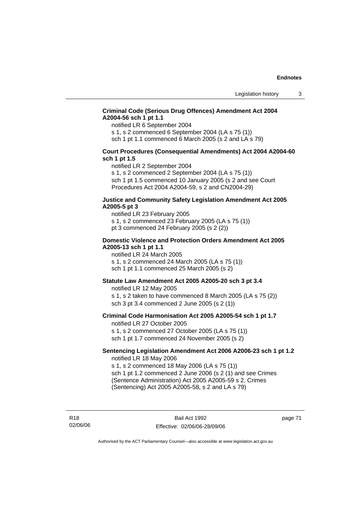## **Criminal Code (Serious Drug Offences) Amendment Act 2004 A2004-56 sch 1 pt 1.1**

notified LR 6 September 2004

s 1, s 2 commenced 6 September 2004 (LA s 75 (1))

sch 1 pt 1.1 commenced 6 March 2005 (s 2 and LA s 79)

## **Court Procedures (Consequential Amendments) Act 2004 A2004-60 sch 1 pt 1.5**

notified LR 2 September 2004

s 1, s 2 commenced 2 September 2004 (LA s 75 (1)) sch 1 pt 1.5 commenced 10 January 2005 (s 2 and see Court Procedures Act 2004 A2004-59, s 2 and CN2004-29)

#### **Justice and Community Safety Legislation Amendment Act 2005 A2005-5 pt 3**

notified LR 23 February 2005 s 1, s 2 commenced 23 February 2005 (LA s 75 (1)) pt 3 commenced 24 February 2005 (s 2 (2))

#### **Domestic Violence and Protection Orders Amendment Act 2005 A2005-13 sch 1 pt 1.1**

notified LR 24 March 2005 s 1, s 2 commenced 24 March 2005 (LA s 75 (1)) sch 1 pt 1.1 commenced 25 March 2005 (s 2)

## **Statute Law Amendment Act 2005 A2005-20 sch 3 pt 3.4**

notified LR 12 May 2005 s 1, s 2 taken to have commenced 8 March 2005 (LA s 75 (2)) sch 3 pt 3.4 commenced 2 June 2005 (s 2 (1))

#### **Criminal Code Harmonisation Act 2005 A2005-54 sch 1 pt 1.7**  notified LR 27 October 2005

s 1, s 2 commenced 27 October 2005 (LA s 75 (1)) sch 1 pt 1.7 commenced 24 November 2005 (s 2)

#### **Sentencing Legislation Amendment Act 2006 A2006-23 sch 1 pt 1.2**  notified LR 18 May 2006

s 1, s 2 commenced 18 May 2006 (LA s 75 (1)) sch 1 pt 1.2 commenced 2 June 2006 (s 2 (1) and see Crimes (Sentence Administration) Act 2005 A2005-59 s 2, Crimes (Sentencing) Act 2005 A2005-58, s 2 and LA s 79)

R18 02/06/06 page 71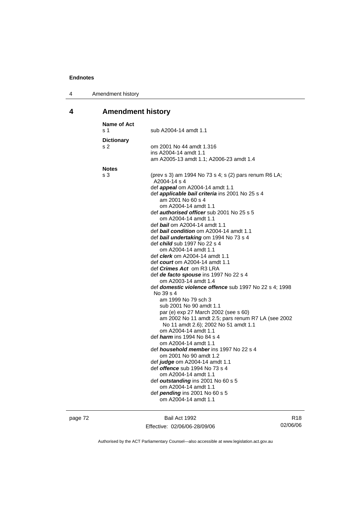| Amendment history<br>4 |  |
|------------------------|--|
|------------------------|--|

# **4 Amendment history**

| <b>Name of Act</b><br>s 1 | sub A2004-14 amdt 1.1                                                                                                                                                                                                                                                                                                                                                                                                                                                                                                                                                                                                                                                                                                                                                                                                                                                                                                                                                                                                                                                                                                                                                                                                                                            |
|---------------------------|------------------------------------------------------------------------------------------------------------------------------------------------------------------------------------------------------------------------------------------------------------------------------------------------------------------------------------------------------------------------------------------------------------------------------------------------------------------------------------------------------------------------------------------------------------------------------------------------------------------------------------------------------------------------------------------------------------------------------------------------------------------------------------------------------------------------------------------------------------------------------------------------------------------------------------------------------------------------------------------------------------------------------------------------------------------------------------------------------------------------------------------------------------------------------------------------------------------------------------------------------------------|
| <b>Dictionary</b><br>s 2  | om 2001 No 44 amdt 1.316<br>ins A2004-14 amdt 1.1<br>am A2005-13 amdt 1.1; A2006-23 amdt 1.4                                                                                                                                                                                                                                                                                                                                                                                                                                                                                                                                                                                                                                                                                                                                                                                                                                                                                                                                                                                                                                                                                                                                                                     |
|                           |                                                                                                                                                                                                                                                                                                                                                                                                                                                                                                                                                                                                                                                                                                                                                                                                                                                                                                                                                                                                                                                                                                                                                                                                                                                                  |
| <b>Notes</b><br>s 3       | (prev s 3) am 1994 No 73 s 4; s (2) pars renum R6 LA;<br>A2004-14 s 4<br>def <i>appeal</i> om A2004-14 amdt 1.1<br>def <i>applicable bail criteria</i> ins 2001 No 25 s 4<br>am 2001 No 60 s 4<br>om A2004-14 amdt 1.1<br>def authorised officer sub 2001 No 25 s 5<br>om A2004-14 amdt 1.1<br>def <i>bail</i> om A2004-14 amdt 1.1<br>def bail condition om A2004-14 amdt 1.1<br>def bail undertaking om 1994 No 73 s 4<br>def <i>child</i> sub 1997 No 22 s 4<br>om A2004-14 amdt 1.1<br>def <i>clerk</i> om A2004-14 amdt 1.1<br>def <i>court</i> om A2004-14 amdt 1.1<br>def <i>Crimes Act</i> _om R3 LRA<br>def de facto spouse ins 1997 No 22 s 4<br>om A2003-14 amdt 1.4<br>def domestic violence offence sub 1997 No 22 s 4; 1998<br>No 39 s 4<br>am 1999 No 79 sch 3<br>sub 2001 No 90 amdt 1.1<br>par (e) exp 27 March 2002 (see s 60)<br>am 2002 No 11 amdt 2.5; pars renum R7 LA (see 2002<br>No 11 amdt 2.6); 2002 No 51 amdt 1.1<br>om A2004-14 amdt 1.1<br>def <i><b>harm</b></i> ins 1994 No 84 s 4<br>om A2004-14 amdt 1.1<br>def <i>household member</i> ins 1997 No 22 s 4<br>om 2001 No 90 amdt 1.2<br>def judge om A2004-14 amdt 1.1<br>def <i>offence</i> sub 1994 No 73 s 4<br>om A2004-14 amdt 1.1<br>def outstanding ins 2001 No 60 s 5 |
|                           | om A2004-14 amdt 1.1<br>def <i>pending</i> ins 2001 No 60 s 5<br>om A2004-14 amdt 1.1                                                                                                                                                                                                                                                                                                                                                                                                                                                                                                                                                                                                                                                                                                                                                                                                                                                                                                                                                                                                                                                                                                                                                                            |
|                           |                                                                                                                                                                                                                                                                                                                                                                                                                                                                                                                                                                                                                                                                                                                                                                                                                                                                                                                                                                                                                                                                                                                                                                                                                                                                  |

page 72 Bail Act 1992 Effective: 02/06/06-28/09/06

R18 02/06/06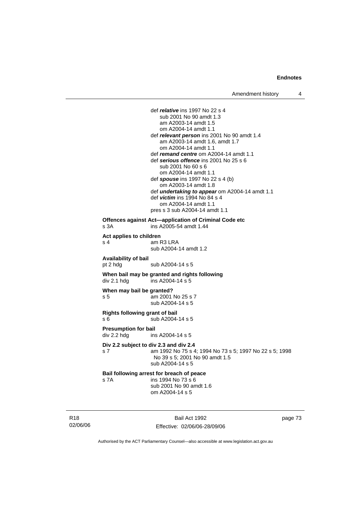def *relative* ins 1997 No 22 s 4 sub 2001 No 90 amdt 1.3 am A2003-14 amdt 1.5 om A2004-14 amdt 1.1 def *relevant person* ins 2001 No 90 amdt 1.4 am A2003-14 amdt 1.6, amdt 1.7 om A2004-14 amdt 1.1 def *remand centre* om A2004-14 amdt 1.1 def *serious offence* ins 2001 No 25 s 6 sub 2001 No 60 s 6 om A2004-14 amdt 1.1 def *spouse* ins 1997 No 22 s 4 (b) om A2003-14 amdt 1.8 def *undertaking to appear* om A2004-14 amdt 1.1 def *victim* ins 1994 No 84 s 4 om A2004-14 amdt 1.1 pres s 3 sub A2004-14 amdt 1.1 **Offences against Act—application of Criminal Code etc**  s 3A ins A2005-54 amdt 1.44 **Act applies to children**  am R3 LRA sub A2004-14 amdt 1.2 **Availability of bail**  pt 2 hdg sub A2004-14 s 5 **When bail may be granted and rights following div 2.1 hdg ins A2004-14 s 5**  $ins$  A2004-14 s 5 **When may bail be granted?**  s 5 am 2001 No 25 s 7 sub A2004-14 s 5 **Rights following grant of bail**  s 6 sub A2004-14 s 5 **Presumption for bail**  div 2.2 hdg ins A2004-14 s 5 **Div 2.2 subject to div 2.3 and div 2.4** s 7 am 1992 No 75 s 4; 1994 No 73 s 5; 1997 No 22 s 5; 1998 No 39 s 5; 2001 No 90 amdt 1.5 sub A2004-14 s 5 **Bail following arrest for breach of peace** s 7A ins 1994 No 73 s 6 sub 2001 No 90 amdt 1.6 om A2004-14 s 5

R18 02/06/06

Bail Act 1992 Effective: 02/06/06-28/09/06 page 73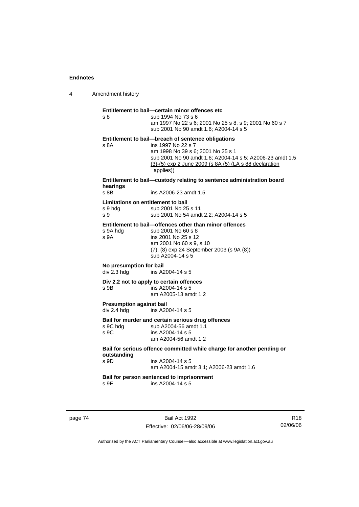4 Amendment history

## **Entitlement to bail—certain minor offences etc** s 8 sub 1994 No 73 s 6 am 1997 No 22 s 6; 2001 No 25 s 8, s 9; 2001 No 60 s 7 sub 2001 No 90 amdt 1.6; A2004-14 s 5 **Entitlement to bail—breach of sentence obligations** s 8A ins 1997 No 22 s 7 am 1998 No 39 s 6; 2001 No 25 s 1 sub 2001 No 90 amdt 1.6; A2004-14 s 5; A2006-23 amdt 1.5 (3)-(5) exp 2 June 2009 (s 8A (5) (LA s 88 declaration applies)) **Entitlement to bail—custody relating to sentence administration board hearings** s 8B ins A2006-23 amdt 1.5 **Limitations on entitlement to bail**  s 9 hdg sub 2001 No 25 s 11 s 9 sub 2001 No 54 amdt 2.2; A2004-14 s 5 **Entitlement to bail—offences other than minor offences**  s 9A hdg sub 2001 No 60 s 8 s 9A ins 2001 No 25 s 12 am 2001 No 60 s 9, s 10 (7), (8) exp 24 September 2003 (s 9A (8)) sub A2004-14 s 5 **No presumption for bail**  div 2.3 hdg ins A2004-14 s 5 **Div 2.2 not to apply to certain offences**  s 9B ins A2004-14 s 5 am A2005-13 amdt 1.2 **Presumption against bail**  div 2.4 hdg ins A2004-14 s 5 **Bail for murder and certain serious drug offences**  sub A2004-56 amdt 1.1 s 9C ins A2004-14 s 5 am A2004-56 amdt 1.2 **Bail for serious offence committed while charge for another pending or outstanding**  s 9D ins A2004-14 s 5 am A2004-15 amdt 3.1; A2006-23 amdt 1.6 **Bail for person sentenced to imprisonment**  s 9E ins A2004-14 s 5

page 74 Bail Act 1992 Effective: 02/06/06-28/09/06

R18 02/06/06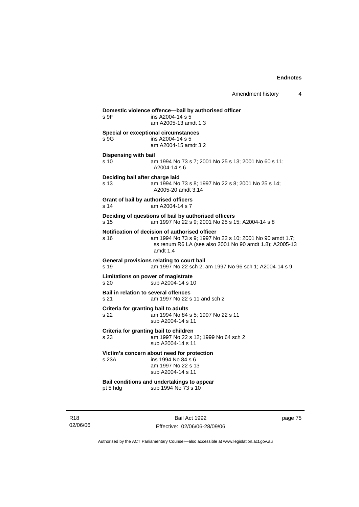| s 9F                                                    | Domestic violence offence-bail by authorised officer<br>ins A2004-14 s 5<br>am A2005-13 amdt 1.3                                                                                  |
|---------------------------------------------------------|-----------------------------------------------------------------------------------------------------------------------------------------------------------------------------------|
| s 9G                                                    | Special or exceptional circumstances<br>ins A2004-14 s 5<br>am A2004-15 amdt 3.2                                                                                                  |
| <b>Dispensing with bail</b>                             |                                                                                                                                                                                   |
| s <sub>10</sub>                                         | am 1994 No 73 s 7; 2001 No 25 s 13; 2001 No 60 s 11;<br>$A2004-14 s6$                                                                                                             |
| Deciding bail after charge laid<br>s <sub>13</sub>      | am 1994 No 73 s 8; 1997 No 22 s 8; 2001 No 25 s 14;<br>A2005-20 amdt 3.14                                                                                                         |
| Grant of bail by authorised officers<br>s <sub>14</sub> | am A2004-14 s 7                                                                                                                                                                   |
| s 15                                                    | Deciding of questions of bail by authorised officers<br>am 1997 No 22 s 9; 2001 No 25 s 15; A2004-14 s 8                                                                          |
| s 16                                                    | Notification of decision of authorised officer<br>am 1994 No 73 s 9; 1997 No 22 s 10; 2001 No 90 amdt 1.7;<br>ss renum R6 LA (see also 2001 No 90 amdt 1.8); A2005-13<br>amdt 1.4 |
| s 19                                                    | General provisions relating to court bail<br>am 1997 No 22 sch 2; am 1997 No 96 sch 1; A2004-14 s 9                                                                               |
| s 20                                                    | Limitations on power of magistrate<br>sub A2004-14 s 10                                                                                                                           |
| <b>Bail in relation to several offences</b><br>s 21     | am 1997 No 22 s 11 and sch 2                                                                                                                                                      |
| Criteria for granting bail to adults<br>s 22            | am 1994 No 84 s 5; 1997 No 22 s 11<br>sub A2004-14 s 11                                                                                                                           |
| s 23                                                    | Criteria for granting bail to children<br>am 1997 No 22 s 12; 1999 No 64 sch 2<br>sub A2004-14 s 11                                                                               |
| s 23A                                                   | Victim's concern about need for protection<br>ins 1994 No 84 s 6<br>am 1997 No 22 s 13<br>sub A2004-14 s 11                                                                       |
| pt 5 hdg                                                | Bail conditions and undertakings to appear<br>sub 1994 No 73 s 10                                                                                                                 |
|                                                         |                                                                                                                                                                                   |

R18 02/06/06

Bail Act 1992 Effective: 02/06/06-28/09/06 page 75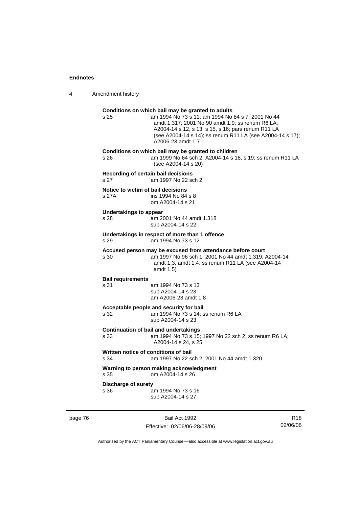4 Amendment history

| s 25                                        | Conditions on which bail may be granted to adults<br>am 1994 No 73 s 11; am 1994 No 84 s 7; 2001 No 44<br>amdt 1.317; 2001 No 90 amdt 1.9; ss renum R6 LA;<br>A2004-14 s 12, s 13, s 15, s 16; pars renum R11 LA<br>(see A2004-14 s 14); ss renum R11 LA (see A2004-14 s 17);<br>A2006-23 amdt 1.7 |
|---------------------------------------------|----------------------------------------------------------------------------------------------------------------------------------------------------------------------------------------------------------------------------------------------------------------------------------------------------|
| s <sub>26</sub>                             | Conditions on which bail may be granted to children<br>am 1999 No 64 sch 2; A2004-14 s 18, s 19; ss renum R11 LA<br>(see A2004-14 s 20)                                                                                                                                                            |
| s 27                                        | Recording of certain bail decisions<br>am 1997 No 22 sch 2                                                                                                                                                                                                                                         |
| Notice to victim of bail decisions<br>s 27A | ins 1994 No 84 s 8<br>om A2004-14 s 21                                                                                                                                                                                                                                                             |
| <b>Undertakings to appear</b><br>s 28       | am 2001 No 44 amdt 1.318<br>sub A2004-14 s 22                                                                                                                                                                                                                                                      |
| s 29                                        | Undertakings in respect of more than 1 offence<br>om 1994 No 73 s 12                                                                                                                                                                                                                               |
| s 30                                        | Accused person may be excused from attendance before court<br>am 1997 No 96 sch 1; 2001 No 44 amdt 1.319; A2004-14<br>amdt 1.3, amdt 1.4; ss renum R11 LA (see A2004-14<br>amdt 1.5)                                                                                                               |
| <b>Bail requirements</b><br>s 31            | am 1994 No 73 s 13<br>sub A2004-14 s 23<br>am A2006-23 amdt 1.8                                                                                                                                                                                                                                    |
| s 32                                        | Acceptable people and security for bail<br>am 1994 No 73 s 14; ss renum R6 LA<br>sub A2004-14 s 23                                                                                                                                                                                                 |
| s 33                                        | <b>Continuation of bail and undertakings</b><br>am 1994 No 73 s 15; 1997 No 22 sch 2; ss renum R6 LA;<br>A2004-14 s 24, s 25                                                                                                                                                                       |
| s 34                                        | Written notice of conditions of bail<br>am 1997 No 22 sch 2; 2001 No 44 amdt 1.320                                                                                                                                                                                                                 |
| s.35                                        | Warning to person making acknowledgment<br>om A2004-14 s 26                                                                                                                                                                                                                                        |
| <b>Discharge of surety</b><br>s 36          | am 1994 No 73 s 16                                                                                                                                                                                                                                                                                 |

page 76 Bail Act 1992 Effective: 02/06/06-28/09/06

R18 02/06/06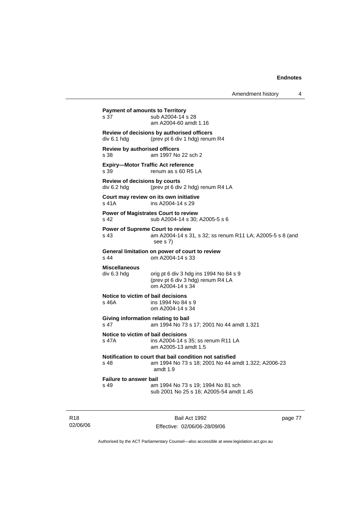```
Payment of amounts to Territory
s 37 sub A2004-14 s 28
                  am A2004-60 amdt 1.16 
Review of decisions by authorised officers 
div 6.1 hdg (prev pt 6 div 1 hdg) renum R4 
Review by authorised officers
s 38 am 1997 No 22 sch 2 
Expiry—Motor Traffic Act reference 
s 39 renum as s 60 R5 LA 
Review of decisions by courts 
div 6.2 hdg (prev pt 6 div 2 hdg) renum R4 LA 
Court may review on its own initiative
s 41A ins A2004-14 s 29
Power of Magistrates Court to review
s 42 sub A2004-14 s 30; A2005-5 s 6 
Power of Supreme Court to review
s 43 am A2004-14 s 31, s 32; ss renum R11 LA; A2005-5 s 8 (and 
                  see s 7) 
General limitation on power of court to review
s 44 om A2004-14 s 33 
Miscellaneous 
                 orig pt 6 div 3 hdg ins 1994 No 84 s 9 (prev pt 6 div 3 hdg) renum R4 LA 
                  om A2004-14 s 34 
Notice to victim of bail decisions
s 46A ins 1994 No 84 s 9
                 om A2004-14 s 34 
Giving information relating to bail
s 47 am 1994 No 73 s 17; 2001 No 44 amdt 1.321 
Notice to victim of bail decisions
s 47A ins A2004-14 s 35; ss renum R11 LA 
                  am A2005-13 amdt 1.5 
Notification to court that bail condition not satisfied
s 48 am 1994 No 73 s 18; 2001 No 44 amdt 1.322; A2006-23 
                  amdt 1.9 
Failure to answer bail<br>s 49 am
                 am 1994 No 73 s 19; 1994 No 81 sch
                  sub 2001 No 25 s 16; A2005-54 amdt 1.45
```
R18 02/06/06

Bail Act 1992 Effective: 02/06/06-28/09/06 page 77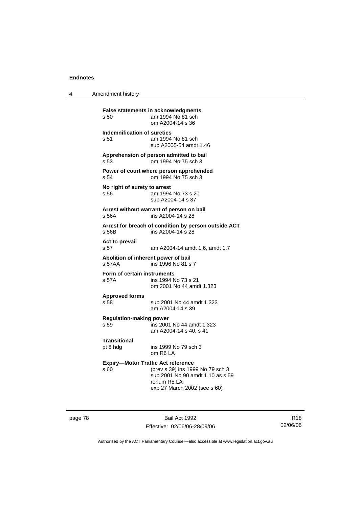4 Amendment history

| s 50                                          | False statements in acknowledgments<br>am 1994 No 81 sch<br>om A2004-14 s 36                                                                                     |
|-----------------------------------------------|------------------------------------------------------------------------------------------------------------------------------------------------------------------|
| <b>Indemnification of sureties</b><br>s 51    | am 1994 No 81 sch<br>sub A2005-54 amdt 1.46                                                                                                                      |
| s 53                                          | Apprehension of person admitted to bail<br>om 1994 No 75 sch 3                                                                                                   |
| s 54                                          | Power of court where person apprehended<br>om 1994 No 75 sch 3                                                                                                   |
| No right of surety to arrest<br>s 56          | am 1994 No 73 s 20<br>sub A2004-14 s 37                                                                                                                          |
| s 56A                                         | Arrest without warrant of person on bail<br>ins A2004-14 s 28                                                                                                    |
| s 56B                                         | Arrest for breach of condition by person outside ACT<br>ins A2004-14 s 28                                                                                        |
| Act to prevail<br>s 57                        | am A2004-14 amdt 1.6, amdt 1.7                                                                                                                                   |
| Abolition of inherent power of bail<br>s 57AA | ins 1996 No 81 s 7                                                                                                                                               |
| Form of certain instruments<br>s 57A          | ins 1994 No 73 s 21<br>om 2001 No 44 amdt 1.323                                                                                                                  |
| <b>Approved forms</b><br>s 58                 | sub 2001 No 44 amdt 1.323<br>am A2004-14 s 39                                                                                                                    |
| <b>Regulation-making power</b><br>s 59        | ins 2001 No 44 amdt 1.323<br>am A2004-14 s 40, s 41                                                                                                              |
| Transitional<br>pt 8 hdg                      | ins 1999 No 79 sch 3<br>om R6 LA                                                                                                                                 |
| s 60                                          | <b>Expiry-Motor Traffic Act reference</b><br>(prev s 39) ins 1999 No 79 sch 3<br>sub 2001 No 90 amdt 1.10 as s 59<br>renum R5 LA<br>exp 27 March 2002 (see s 60) |

page 78 Bail Act 1992 Effective: 02/06/06-28/09/06

R18 02/06/06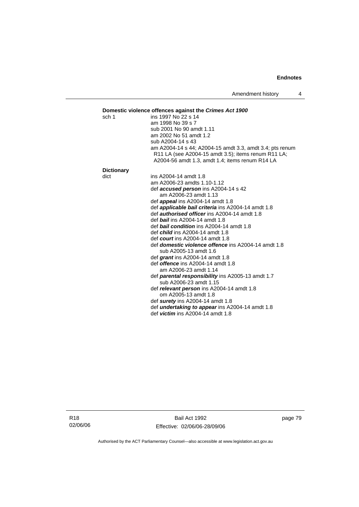Amendment history 4

# **Domestic violence offences against the** *Crimes Act 1900***<br>sch 1 ins 1997 No 22 s 14**

| sch 1             | ins 1997 No 22 s 14                                                                                             |
|-------------------|-----------------------------------------------------------------------------------------------------------------|
|                   | am 1998 No 39 s 7                                                                                               |
|                   | sub 2001 No 90 amdt 1.11                                                                                        |
|                   | am 2002 No 51 amdt 1.2                                                                                          |
|                   | sub A2004-14 s 43                                                                                               |
|                   | am A2004-14 s 44; A2004-15 amdt 3.3, amdt 3.4; pts renum<br>R11 LA (see A2004-15 amdt 3.5); items renum R11 LA; |
|                   | A2004-56 amdt 1.3, amdt 1.4; items renum R14 LA                                                                 |
| <b>Dictionary</b> |                                                                                                                 |
| dict              | ins A2004-14 amdt 1.8                                                                                           |
|                   | am A2006-23 amdts 1.10-1.12                                                                                     |
|                   | def accused person ins A2004-14 s 42                                                                            |
|                   | am A2006-23 amdt 1.13                                                                                           |
|                   | def <b>appeal</b> ins A2004-14 amdt 1.8                                                                         |
|                   | def <b>applicable bail criteria</b> ins A2004-14 amdt 1.8                                                       |
|                   | def <b>authorised officer</b> ins A2004-14 amdt 1.8                                                             |
|                   | def <b>bail</b> ins A2004-14 amdt 1.8                                                                           |
|                   | def <b>bail condition</b> ins A2004-14 amdt 1.8                                                                 |
|                   | def <i>child</i> ins A2004-14 amdt 1.8                                                                          |
|                   | def <i>court</i> ins A2004-14 amdt 1.8                                                                          |
|                   | def <i>domestic violence offence</i> ins A2004-14 amdt 1.8<br>sub A2005-13 amdt 1.6                             |
|                   | def grant ins $A2004-14$ amdt 1.8                                                                               |
|                   | def <i>offence</i> ins A2004-14 amdt 1.8                                                                        |
|                   | am A2006-23 amdt 1.14                                                                                           |
|                   | def <b>parental responsibility</b> ins A2005-13 amdt 1.7                                                        |
|                   | sub A2006-23 amdt 1.15                                                                                          |
|                   | def relevant person ins A2004-14 amdt 1.8                                                                       |
|                   | om A2005-13 amdt 1.8                                                                                            |
|                   | def surety ins $A2004-14$ amdt 1.8                                                                              |
|                   | def <i>undertaking to appear</i> ins A2004-14 amdt 1.8                                                          |
|                   | def <i>victim</i> ins $A2004-14$ amdt 1.8                                                                       |
|                   |                                                                                                                 |

Bail Act 1992 Effective: 02/06/06-28/09/06 page 79